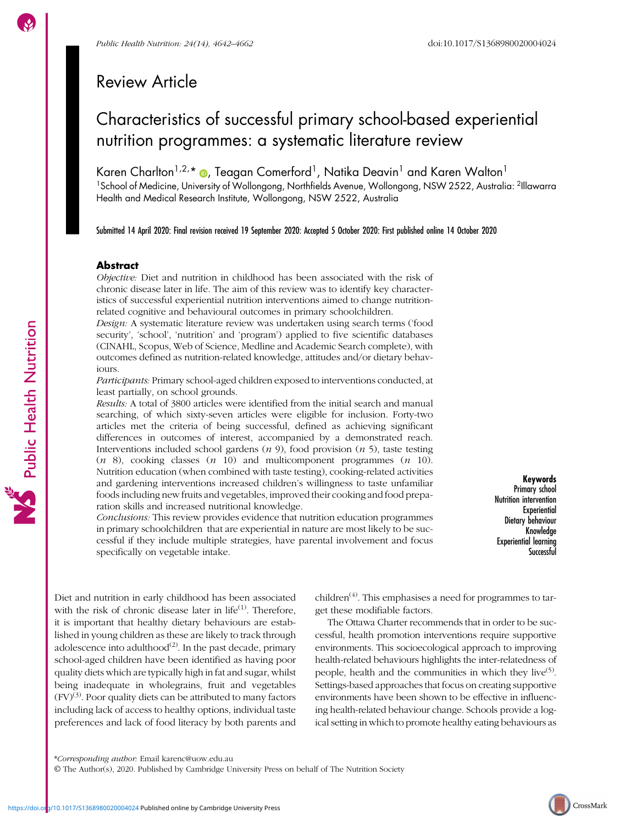# Review Article

# Characteristics of successful primary school-based experiential nutrition programmes: a systematic literature review

Karen Charlton<sup>1,2,</sup>\* @, Teagan Comerford<sup>1</sup>, Natika Deavin<sup>1</sup> and Karen Walton<sup>1</sup> <sup>1</sup>School of Medicine, University of Wollongong, Northfields Avenue, Wollongong, NSW 2522, Australia: <sup>2</sup>Illawarra Health and Medical Research Institute, Wollongong, NSW 2522, Australia

Submitted 14 April 2020: Final revision received 19 September 2020: Accepted 5 October 2020: First published online 14 October 2020

# Abstract

Objective: Diet and nutrition in childhood has been associated with the risk of chronic disease later in life. The aim of this review was to identify key characteristics of successful experiential nutrition interventions aimed to change nutritionrelated cognitive and behavioural outcomes in primary schoolchildren.

Design: A systematic literature review was undertaken using search terms ('food security', 'school', 'nutrition' and 'program') applied to five scientific databases (CINAHL, Scopus, Web of Science, Medline and Academic Search complete), with outcomes defined as nutrition-related knowledge, attitudes and/or dietary behaviours.

Participants: Primary school-aged children exposed to interventions conducted, at least partially, on school grounds.

Results: A total of 3800 articles were identified from the initial search and manual searching, of which sixty-seven articles were eligible for inclusion. Forty-two articles met the criteria of being successful, defined as achieving significant differences in outcomes of interest, accompanied by a demonstrated reach. Interventions included school gardens  $(n 9)$ , food provision  $(n 5)$ , taste testing  $(n \ 8)$ , cooking classes  $(n \ 10)$  and multicomponent programmes  $(n \ 10)$ . Nutrition education (when combined with taste testing), cooking-related activities and gardening interventions increased children's willingness to taste unfamiliar foods including new fruits and vegetables, improved their cooking and food preparation skills and increased nutritional knowledge.

Conclusions: This review provides evidence that nutrition education programmes in primary schoolchildren that are experiential in nature are most likely to be successful if they include multiple strategies, have parental involvement and focus specifically on vegetable intake.

Keywords Primary school Nutrition intervention **Experiential** Dietary behaviour Knowledge Experiential learning Successful

Diet and nutrition in early childhood has been associated with the risk of chronic disease later in life $(1)$  $(1)$ . Therefore, it is important that healthy dietary behaviours are established in young children as these are likely to track through adolescence into adulthood<sup> $(2)$ </sup>. In the past decade, primary school-aged children have been identified as having poor quality diets which are typically high in fat and sugar, whilst being inadequate in wholegrains, fruit and vegetables  $(FV)^{(3)}$  $(FV)^{(3)}$  $(FV)^{(3)}$ . Poor quality diets can be attributed to many factors including lack of access to healthy options, individual taste preferences and lack of food literacy by both parents and

children<sup> $(4)$ </sup>. This emphasises a need for programmes to target these modifiable factors.

The Ottawa Charter recommends that in order to be successful, health promotion interventions require supportive environments. This socioecological approach to improving health-related behaviours highlights the inter-relatedness of people, health and the communities in which they live<sup>([5\)](#page-17-0)</sup>. Settings-based approaches that focus on creating supportive environments have been shown to be effective in influencing health-related behaviour change. Schools provide a logical setting in which to promote healthy eating behaviours as

© The Author(s), 2020. Published by Cambridge University Press on behalf of The Nutrition Society

<sup>\*</sup>Corresponding author: Email karenc@uow.edu.au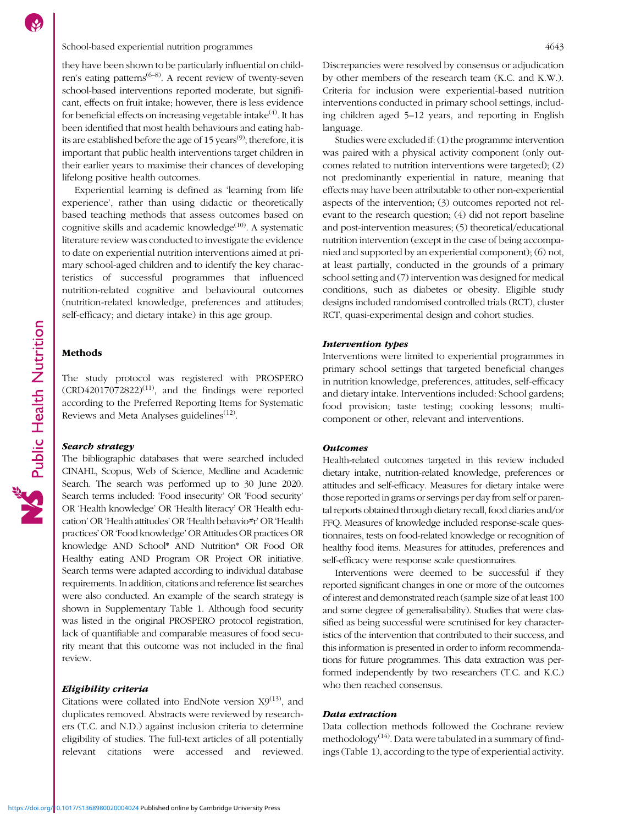# School-based experiential nutrition programmes 4643

they have been shown to be particularly influential on child-ren's eating patterns<sup>([6](#page-17-0)–[8\)](#page-17-0)</sup>. A recent review of twenty-seven school-based interventions reported moderate, but significant, effects on fruit intake; however, there is less evidence for beneficial effects on increasing vegetable intake $(4)$  $(4)$ . It has been identified that most health behaviours and eating hab-its are established before the age of 15 years<sup>[\(9](#page-17-0))</sup>; therefore, it is important that public health interventions target children in their earlier years to maximise their chances of developing lifelong positive health outcomes.

Experiential learning is defined as 'learning from life experience', rather than using didactic or theoretically based teaching methods that assess outcomes based on cognitive skills and academic knowledge $(10)$  $(10)$  $(10)$ . A systematic literature review was conducted to investigate the evidence to date on experiential nutrition interventions aimed at primary school-aged children and to identify the key characteristics of successful programmes that influenced nutrition-related cognitive and behavioural outcomes (nutrition-related knowledge, preferences and attitudes; self-efficacy; and dietary intake) in this age group.

# Methods

The study protocol was registered with PROSPERO  $(CRD42017072822)^{(11)}$  $(CRD42017072822)^{(11)}$  $(CRD42017072822)^{(11)}$ , and the findings were reported according to the Preferred Reporting Items for Systematic Reviews and Meta Analyses guidelines<sup>([12](#page-17-0))</sup>.

### Search strategy

The bibliographic databases that were searched included CINAHL, Scopus, Web of Science, Medline and Academic Search. The search was performed up to 30 June 2020. Search terms included: 'Food insecurity' OR 'Food security' OR 'Health knowledge' OR 'Health literacy' OR 'Health education' OR 'Health attitudes' OR 'Health behavio#r' OR 'Health practices'OR 'Food knowledge'OR Attitudes OR practices OR knowledge AND School\* AND Nutrition\* OR Food OR Healthy eating AND Program OR Project OR initiative. Search terms were adapted according to individual database requirements. In addition, citations and reference list searches were also conducted. An example of the search strategy is shown in Supplementary Table [1](https://doi.org/10.1017/S1368980020004024). Although food security was listed in the original PROSPERO protocol registration, lack of quantifiable and comparable measures of food security meant that this outcome was not included in the final review.

# Eligibility criteria

Citations were collated into EndNote version  $X9^{(13)}$  $X9^{(13)}$  $X9^{(13)}$ , and duplicates removed. Abstracts were reviewed by researchers (T.C. and N.D.) against inclusion criteria to determine eligibility of studies. The full-text articles of all potentially relevant citations were accessed and reviewed. Discrepancies were resolved by consensus or adjudication by other members of the research team (K.C. and K.W.). Criteria for inclusion were experiential-based nutrition interventions conducted in primary school settings, including children aged 5–12 years, and reporting in English language.

Studies were excluded if: (1) the programme intervention was paired with a physical activity component (only outcomes related to nutrition interventions were targeted); (2) not predominantly experiential in nature, meaning that effects may have been attributable to other non-experiential aspects of the intervention; (3) outcomes reported not relevant to the research question; (4) did not report baseline and post-intervention measures; (5) theoretical/educational nutrition intervention (except in the case of being accompanied and supported by an experiential component); (6) not, at least partially, conducted in the grounds of a primary school setting and (7) intervention was designed for medical conditions, such as diabetes or obesity. Eligible study designs included randomised controlled trials (RCT), cluster RCT, quasi-experimental design and cohort studies.

# Intervention types

Interventions were limited to experiential programmes in primary school settings that targeted beneficial changes in nutrition knowledge, preferences, attitudes, self-efficacy and dietary intake. Interventions included: School gardens; food provision; taste testing; cooking lessons; multicomponent or other, relevant and interventions.

### **Outcomes**

Health-related outcomes targeted in this review included dietary intake, nutrition-related knowledge, preferences or attitudes and self-efficacy. Measures for dietary intake were those reported in grams or servings per day from self or parental reports obtained through dietary recall, food diaries and/or FFQ. Measures of knowledge included response-scale questionnaires, tests on food-related knowledge or recognition of healthy food items. Measures for attitudes, preferences and self-efficacy were response scale questionnaires.

Interventions were deemed to be successful if they reported significant changes in one or more of the outcomes of interest and demonstrated reach (sample size of at least 100 and some degree of generalisability). Studies that were classified as being successful were scrutinised for key characteristics of the intervention that contributed to their success, and this information is presented in order to inform recommendations for future programmes. This data extraction was performed independently by two researchers (T.C. and K.C.) who then reached consensus.

### Data extraction

Data collection methods followed the Cochrane review methodology<sup> $(14)$ </sup>. Data were tabulated in a summary of findings (Table [1](#page-2-0)), according to the type of experiential activity.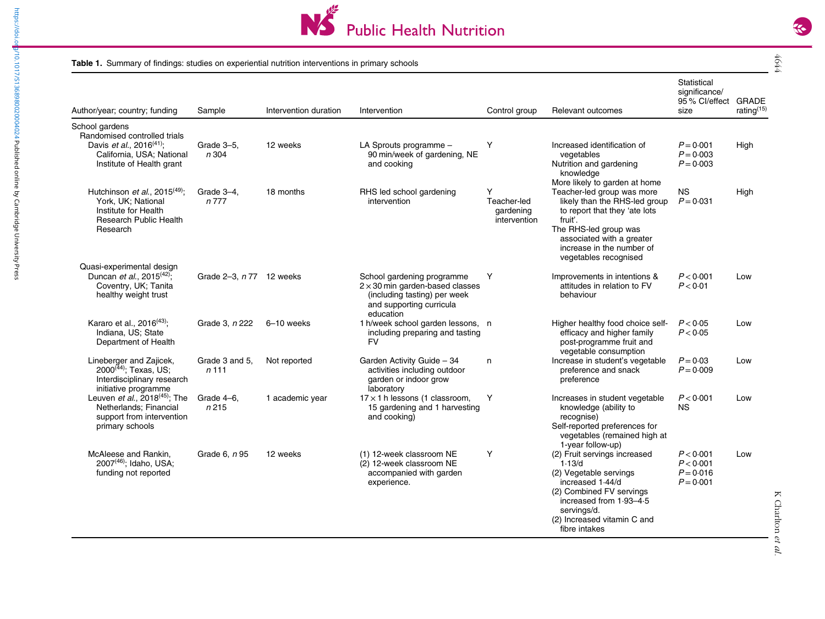

### **Table 1.** Summary of findings: studies on experiential nutrition interventions in primary schools

<https://doi.org/10.1017/S1368980020004024>Published online by Cambridge University Press

<span id="page-2-0"></span>https://doi.or<mark>.</mark>p/10.1017/S1368980020004024 Published online by Cambridge University Press

| × |
|---|
|   |
|   |

| Author/year; country; funding                                                                                                                | Sample                   | Intervention duration | Intervention                                                                                                                                  | Control group                                 | Relevant outcomes                                                                                                                                                                                                                                    | Statistical<br>significance/<br>95 % Cl/effect GRADE<br>size | rating <sup>(15)</sup> |
|----------------------------------------------------------------------------------------------------------------------------------------------|--------------------------|-----------------------|-----------------------------------------------------------------------------------------------------------------------------------------------|-----------------------------------------------|------------------------------------------------------------------------------------------------------------------------------------------------------------------------------------------------------------------------------------------------------|--------------------------------------------------------------|------------------------|
| School gardens                                                                                                                               |                          |                       |                                                                                                                                               |                                               |                                                                                                                                                                                                                                                      |                                                              |                        |
| Randomised controlled trials<br>Davis et al., 2016 <sup>(41)</sup> ;<br>California, USA; National<br>Institute of Health grant               | Grade 3-5,<br>n 304      | 12 weeks              | LA Sprouts programme -<br>90 min/week of gardening, NE<br>and cooking                                                                         | Y                                             | Increased identification of<br>vegetables<br>Nutrition and gardening<br>knowledge                                                                                                                                                                    | $P = 0.001$<br>$P = 0.003$<br>$P = 0.003$                    | High                   |
| Hutchinson <i>et al.</i> , 2015 <sup>(49)</sup> ;<br>York. UK: National<br>Institute for Health<br><b>Research Public Health</b><br>Research | Grade 3-4,<br>n 777      | 18 months             | RHS led school gardening<br>intervention                                                                                                      | Y<br>Teacher-led<br>gardening<br>intervention | More likely to garden at home<br>Teacher-led group was more<br>likely than the RHS-led group<br>to report that they 'ate lots<br>fruit'.<br>The RHS-led group was<br>associated with a greater<br>increase in the number of<br>vegetables recognised | <b>NS</b><br>$P = 0.031$                                     | High                   |
| Quasi-experimental design<br>Duncan et al., 2015 <sup>(42)</sup> ;<br>Coventry, UK; Tanita<br>healthy weight trust                           | Grade 2-3, n 77 12 weeks |                       | School gardening programme<br>$2 \times 30$ min garden-based classes<br>(including tasting) per week<br>and supporting curricula<br>education | Y                                             | Improvements in intentions &<br>attitudes in relation to FV<br>behaviour                                                                                                                                                                             | P < 0.001<br>P < 0.01                                        | Low                    |
| Kararo et al., 2016 <sup>(43)</sup> ;<br>Indiana, US; State<br>Department of Health                                                          | Grade 3, n 222           | 6-10 weeks            | 1 h/week school garden lessons, n<br>including preparing and tasting<br><b>FV</b>                                                             |                                               | Higher healthy food choice self-<br>efficacy and higher family<br>post-programme fruit and<br>vegetable consumption                                                                                                                                  | P < 0.05<br>P < 0.05                                         | Low                    |
| Lineberger and Zajicek,<br>$2000^{(44)}$ ; Texas, US;<br>Interdisciplinary research<br>initiative programme                                  | Grade 3 and 5,<br>n 111  | Not reported          | Garden Activity Guide - 34<br>activities including outdoor<br>garden or indoor grow<br>laboratory                                             | n                                             | Increase in student's vegetable<br>preference and snack<br>preference                                                                                                                                                                                | $P = 0.03$<br>$P = 0.009$                                    | Low                    |
| Leuven et al., $2018^{(45)}$ ; The<br>Netherlands: Financial<br>support from intervention<br>primary schools                                 | Grade 4-6,<br>n215       | 1 academic year       | $17 \times 1$ h lessons (1 classroom,<br>15 gardening and 1 harvesting<br>and cooking)                                                        | Y                                             | Increases in student vegetable<br>knowledge (ability to<br>recognise)<br>Self-reported preferences for<br>vegetables (remained high at<br>1-year follow-up)                                                                                          | P < 0.001<br><b>NS</b>                                       | Low                    |
| McAleese and Rankin,<br>$2007^{(46)}$ ; Idaho, USA;<br>funding not reported                                                                  | Grade 6, <i>n</i> 95     | 12 weeks              | (1) 12-week classroom NE<br>(2) 12-week classroom NE<br>accompanied with garden<br>experience.                                                | Y                                             | (2) Fruit servings increased<br>1.13/d<br>(2) Vegetable servings<br>increased 1.44/d<br>(2) Combined FV servings<br>increased from 1.93-4.5<br>servings/d.<br>(2) Increased vitamin C and<br>fibre intakes                                           | P < 0.001<br>P < 0.001<br>$P = 0.016$<br>$P = 0.001$         | Low                    |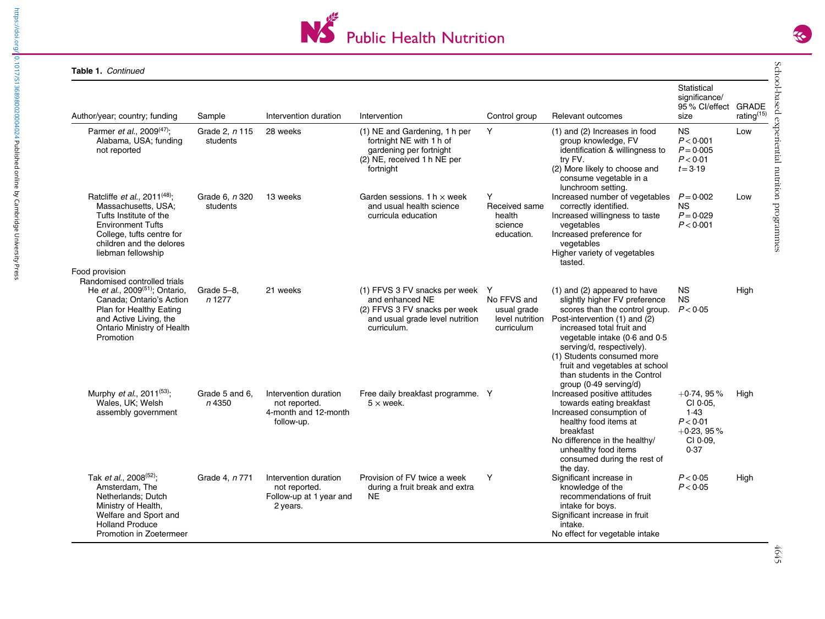

| Author/year; country; funding                                                                                                                                                                                            | Sample                            | Intervention duration                                                         | Intervention                                                                                                                          | Control group                                               | Relevant outcomes                                                                                                                                                                                                                                                                                                                                      | Statistical<br>significance/<br>95% Cl/effect GRADE<br>size                      | rating <sup>(15)</sup> |
|--------------------------------------------------------------------------------------------------------------------------------------------------------------------------------------------------------------------------|-----------------------------------|-------------------------------------------------------------------------------|---------------------------------------------------------------------------------------------------------------------------------------|-------------------------------------------------------------|--------------------------------------------------------------------------------------------------------------------------------------------------------------------------------------------------------------------------------------------------------------------------------------------------------------------------------------------------------|----------------------------------------------------------------------------------|------------------------|
| Parmer et al., 2009 <sup>(47)</sup> ;<br>Alabama, USA; funding<br>not reported                                                                                                                                           | Grade 2, <i>n</i> 115<br>students | 28 weeks                                                                      | (1) NE and Gardening, 1 h per<br>fortnight NE with 1 h of<br>gardening per fortnight<br>(2) NE, received 1 h NE per<br>fortnight      | Y                                                           | (1) and (2) Increases in food<br>group knowledge, FV<br>identification & willingness to<br>try FV.<br>(2) More likely to choose and<br>consume vegetable in a<br>lunchroom setting.                                                                                                                                                                    | <b>NS</b><br>P < 0.001<br>$P = 0.005$<br>P < 0.01<br>$t = 3.19$                  | Low                    |
| Ratcliffe et al., 2011 <sup>(48)</sup> ;<br>Massachusetts, USA;<br>Tufts Institute of the<br><b>Environment Tufts</b><br>College, tufts centre for<br>children and the delores<br>liebman fellowship                     | Grade 6, <i>n</i> 320<br>students | 13 weeks                                                                      | Garden sessions. 1 h $\times$ week<br>and usual health science<br>curricula education                                                 | Y<br>Received same<br>health<br>science<br>education.       | Increased number of vegetables $P = 0.002$<br>correctly identified.<br>Increased willingness to taste<br>vegetables<br>Increased preference for<br>vegetables<br>Higher variety of vegetables<br>tasted.                                                                                                                                               | ΝS<br>$P = 0.029$<br>P < 0.001                                                   | Low                    |
| Food provision<br>Randomised controlled trials<br>He et al., 2009 <sup>(51)</sup> ; Ontario,<br>Canada: Ontario's Action<br>Plan for Healthy Eating<br>and Active Living, the<br>Ontario Ministry of Health<br>Promotion | Grade 5-8.<br>n 1277              | 21 weeks                                                                      | (1) FFVS 3 FV snacks per week Y<br>and enhanced NE<br>(2) FFVS 3 FV snacks per week<br>and usual grade level nutrition<br>curriculum. | No FFVS and<br>usual grade<br>level nutrition<br>curriculum | (1) and (2) appeared to have<br>slightly higher FV preference<br>scores than the control group.<br>Post-intervention (1) and (2)<br>increased total fruit and<br>yegetable intake (0.6 and 0.5)<br>serving/d, respectively).<br>(1) Students consumed more<br>fruit and vegetables at school<br>than students in the Control<br>group (0.49 serving/d) | <b>NS</b><br><b>NS</b><br>P < 0.05                                               | High                   |
| Murphy <i>et al.</i> , 2011 <sup>(53)</sup> ;<br>Wales, UK; Welsh<br>assembly government                                                                                                                                 | Grade 5 and 6.<br>n 4350          | Intervention duration<br>not reported.<br>4-month and 12-month<br>follow-up.  | Free daily breakfast programme. Y<br>$5 \times$ week.                                                                                 |                                                             | Increased positive attitudes<br>towards eating breakfast<br>Increased consumption of<br>healthy food items at<br>breakfast<br>No difference in the healthy/<br>unhealthy food items<br>consumed during the rest of                                                                                                                                     | $+0.74, 95%$<br>CI 0.05.<br>1.43<br>P < 0.01<br>$+0.23, 95%$<br>CI 0.09,<br>0.37 | High                   |
| Tak et al., 2008 <sup>(52)</sup> ;<br>Amsterdam, The<br>Netherlands; Dutch<br>Ministry of Health,<br>Welfare and Sport and<br><b>Holland Produce</b><br>Promotion in Zoetermeer                                          | Grade 4, n 771                    | Intervention duration<br>not reported.<br>Follow-up at 1 year and<br>2 years. | Provision of FV twice a week<br>during a fruit break and extra<br><b>NE</b>                                                           | Y                                                           | the day.<br>Significant increase in<br>knowledge of the<br>recommendations of fruit<br>intake for boys.<br>Significant increase in fruit<br>intake.<br>No effect for vegetable intake                                                                                                                                                                  | P < 0.05<br>P < 0.05                                                             | High                   |

School-based experiential nutrition programmes 4645  $rac{4645}{1}$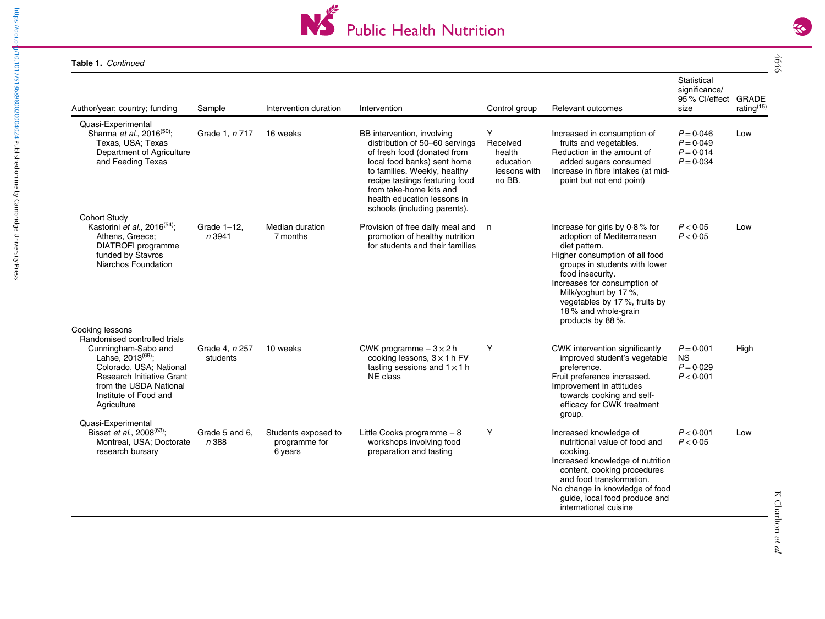

| Author/year; country; funding                                                                                                                                                                                                     | Sample                     | Intervention duration                           | Intervention                                                                                                                                                                                                                                                                           | Control group                                                  | Relevant outcomes                                                                                                                                                                                                                                                                                         | Statistical<br>significance/<br>95 % Cl/effect GRADE<br>size | rating <sup>(15)</sup> |
|-----------------------------------------------------------------------------------------------------------------------------------------------------------------------------------------------------------------------------------|----------------------------|-------------------------------------------------|----------------------------------------------------------------------------------------------------------------------------------------------------------------------------------------------------------------------------------------------------------------------------------------|----------------------------------------------------------------|-----------------------------------------------------------------------------------------------------------------------------------------------------------------------------------------------------------------------------------------------------------------------------------------------------------|--------------------------------------------------------------|------------------------|
| Quasi-Experimental<br>Sharma et al., 2016 <sup>(50)</sup> ;<br>Texas, USA; Texas<br>Department of Agriculture<br>and Feeding Texas                                                                                                | Grade 1, n 717             | 16 weeks                                        | BB intervention, involving<br>distribution of 50-60 servings<br>of fresh food (donated from<br>local food banks) sent home<br>to families. Weekly, healthy<br>recipe tastings featuring food<br>from take-home kits and<br>health education lessons in<br>schools (including parents). | Y<br>Received<br>health<br>education<br>lessons with<br>no BB. | Increased in consumption of<br>fruits and vegetables.<br>Reduction in the amount of<br>added sugars consumed<br>Increase in fibre intakes (at mid-<br>point but not end point)                                                                                                                            | $P = 0.046$<br>$P = 0.049$<br>$P = 0.014$<br>$P = 0.034$     | Low                    |
| <b>Cohort Study</b><br>Kastorini et al., 2016 <sup>(54)</sup> ;<br>Athens, Greece;<br>DIATROFI programme<br>funded by Stavros<br>Niarchos Foundation                                                                              | Grade 1-12,<br>n 3941      | Median duration<br>7 months                     | Provision of free daily meal and<br>promotion of healthy nutrition<br>for students and their families                                                                                                                                                                                  | n                                                              | Increase for girls by $0.8\%$ for<br>adoption of Mediterranean<br>diet pattern.<br>Higher consumption of all food<br>groups in students with lower<br>food insecurity.<br>Increases for consumption of<br>Milk/yoghurt by 17%,<br>vegetables by 17%, fruits by<br>18% and whole-grain<br>products by 88%. | P < 0.05<br>P < 0.05                                         | Low                    |
| Cooking lessons<br>Randomised controlled trials<br>Cunningham-Sabo and<br>Lahse, $2013^{(69)}$ ;<br>Colorado, USA; National<br><b>Research Initiative Grant</b><br>from the USDA National<br>Institute of Food and<br>Agriculture | Grade 4, n 257<br>students | 10 weeks                                        | CWK programme $-3 \times 2$ h<br>cooking lessons, $3 \times 1$ h FV<br>tasting sessions and $1 \times 1$ h<br>NE class                                                                                                                                                                 | Y                                                              | CWK intervention significantly<br>improved student's vegetable<br>preference.<br>Fruit preference increased.<br>Improvement in attitudes<br>towards cooking and self-<br>efficacy for CWK treatment<br>group.                                                                                             | $P = 0.001$<br><b>NS</b><br>$P = 0.029$<br>P < 0.001         | High                   |
| Quasi-Experimental<br>Bisset et al., 2008 <sup>(63)</sup> ;<br>Montreal, USA; Doctorate<br>research bursary                                                                                                                       | Grade 5 and 6.<br>n 388    | Students exposed to<br>programme for<br>6 years | Little Cooks programme - 8<br>workshops involving food<br>preparation and tasting                                                                                                                                                                                                      | Υ                                                              | Increased knowledge of<br>nutritional value of food and<br>cooking.<br>Increased knowledge of nutrition<br>content, cooking procedures<br>and food transformation.<br>No change in knowledge of food<br>guide, local food produce and<br>international cuisine                                            | P < 0.001<br>P < 0.05                                        | Low                    |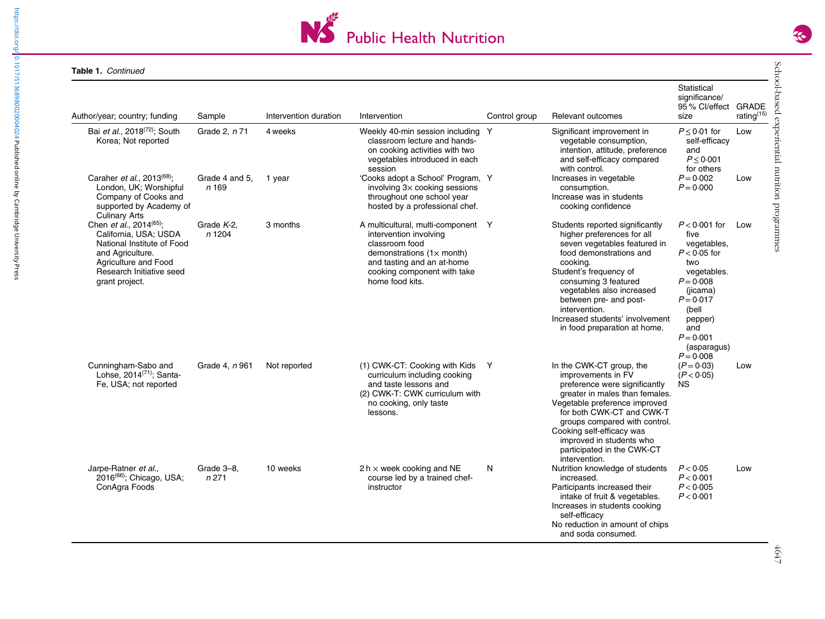

| Author/year; country; funding                                                                                                                                                        | Sample                  | Intervention duration | Intervention                                                                                                                                                                                               | Control group | Relevant outcomes                                                                                                                                                                                                                                                                                                                 | Statistical<br>significance/<br>95 % Cl/effect<br>size                                                                                                                                           | <b>GRADE</b><br>rating <sup>(15)</sup> |
|--------------------------------------------------------------------------------------------------------------------------------------------------------------------------------------|-------------------------|-----------------------|------------------------------------------------------------------------------------------------------------------------------------------------------------------------------------------------------------|---------------|-----------------------------------------------------------------------------------------------------------------------------------------------------------------------------------------------------------------------------------------------------------------------------------------------------------------------------------|--------------------------------------------------------------------------------------------------------------------------------------------------------------------------------------------------|----------------------------------------|
| Bai et al., 2018 <sup>(72)</sup> ; South<br>Korea; Not reported                                                                                                                      | Grade 2, n 71           | 4 weeks               | Weekly 40-min session including Y<br>classroom lecture and hands-<br>on cooking activities with two<br>vegetables introduced in each<br>session                                                            |               | Significant improvement in<br>vegetable consumption,<br>intention, attitude, preference<br>and self-efficacy compared<br>with control.                                                                                                                                                                                            | $P \leq 0.01$ for<br>self-efficacy<br>and<br>$P \leq 0.001$<br>for others                                                                                                                        | Low                                    |
| Caraher et al., 2013 <sup>(68)</sup> ;<br>London, UK; Worshipful<br>Company of Cooks and<br>supported by Academy of<br><b>Culinary Arts</b>                                          | Grade 4 and 5.<br>n 169 | 1 year                | 'Cooks adopt a School' Program, Y<br>involving 3x cooking sessions<br>throughout one school year<br>hosted by a professional chef.                                                                         |               | Increases in vegetable<br>consumption.<br>Increase was in students<br>cooking confidence                                                                                                                                                                                                                                          | $P = 0.002$<br>$P = 0.000$                                                                                                                                                                       | Low                                    |
| Chen et al., 2014 <sup>(65)</sup> ;<br>California, USA: USDA<br>National Institute of Food<br>and Agriculture.<br>Agriculture and Food<br>Research Initiative seed<br>grant project. | Grade $K-2$ ,<br>n 1204 | 3 months              | A multicultural, multi-component Y<br>intervention involving<br>classroom food<br>demonstrations $(1 \times \text{month})$<br>and tasting and an at-home<br>cooking component with take<br>home food kits. |               | Students reported significantly<br>higher preferences for all<br>seven vegetables featured in<br>food demonstrations and<br>cooking.<br>Student's frequency of<br>consuming 3 featured<br>vegetables also increased<br>between pre- and post-<br>intervention.<br>Increased students' involvement<br>in food preparation at home. | $P < 0.001$ for<br>five<br>vegetables,<br>$P < 0.05$ for<br>two<br>vegetables.<br>$P = 0.008$<br>(jicama)<br>$P = 0.017$<br>(bell<br>pepper)<br>and<br>$P = 0.001$<br>(asparagus)<br>$P = 0.008$ | Low                                    |
| Cunningham-Sabo and<br>Lohse, $2014^{(71)}$ : Santa-<br>Fe, USA; not reported                                                                                                        | Grade 4, <i>n</i> 961   | Not reported          | (1) CWK-CT: Cooking with Kids Y<br>curriculum including cooking<br>and taste lessons and<br>(2) CWK-T: CWK curriculum with<br>no cooking, only taste<br>lessons.                                           |               | In the CWK-CT group, the<br>improvements in FV<br>preference were significantly<br>greater in males than females.<br>Vegetable preference improved<br>for both CWK-CT and CWK-T<br>groups compared with control.<br>Cooking self-efficacy was<br>improved in students who<br>participated in the CWK-CT<br>intervention.          | $(P = 0.03)$<br>(P < 0.05)<br>ΝS                                                                                                                                                                 | Low                                    |
| Jarpe-Ratner et al.,<br>2016 <sup>(66)</sup> ; Chicago, USA;<br>ConAgra Foods                                                                                                        | Grade 3-8,<br>n 271     | 10 weeks              | 2 h $\times$ week cooking and NE<br>course led by a trained chef-<br>instructor                                                                                                                            | N             | Nutrition knowledge of students<br>increased.<br>Participants increased their<br>intake of fruit & vegetables.<br>Increases in students cooking<br>self-efficacy<br>No reduction in amount of chips<br>and soda consumed.                                                                                                         | P < 0.05<br>P < 0.001<br>P < 0.005<br>P < 0.001                                                                                                                                                  | Low                                    |

 $S_{\rm C}$ School-based experiential nutrition programmes  $4647$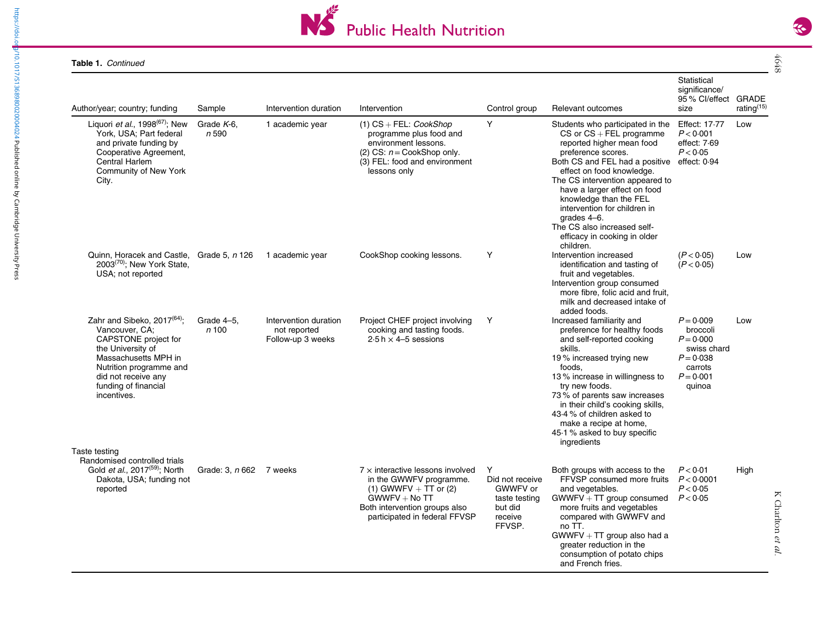

| Author/year; country; funding                                                                                                                                                                                    | Sample                         | Intervention duration                                      | Intervention                                                                                                                                                                       | Control group                                                                     | Relevant outcomes                                                                                                                                                                                                                                                                                                                                                                                                       | Statistical<br>significance/<br>95 % Cl/effect GRADE<br>size                                             | rating <sup>(15)</sup> |
|------------------------------------------------------------------------------------------------------------------------------------------------------------------------------------------------------------------|--------------------------------|------------------------------------------------------------|------------------------------------------------------------------------------------------------------------------------------------------------------------------------------------|-----------------------------------------------------------------------------------|-------------------------------------------------------------------------------------------------------------------------------------------------------------------------------------------------------------------------------------------------------------------------------------------------------------------------------------------------------------------------------------------------------------------------|----------------------------------------------------------------------------------------------------------|------------------------|
| Liquori et al., 1998 <sup>(67)</sup> ; New<br>York, USA; Part federal<br>and private funding by<br>Cooperative Agreement,<br>Central Harlem<br>Community of New York<br>City.                                    | Grade $K-6$ ,<br>n 590         | 1 academic year                                            | $(1)$ CS + FEL: CookShop<br>programme plus food and<br>environment lessons.<br>(2) CS: $n = \text{CookShop only}$ .<br>(3) FEL: food and environment<br>lessons only               | Y                                                                                 | Students who participated in the<br>$CS$ or $CS$ + FEL programme<br>reported higher mean food<br>preference scores.<br>Both CS and FEL had a positive effect: 0.94<br>effect on food knowledge.<br>The CS intervention appeared to<br>have a larger effect on food<br>knowledge than the FEL<br>intervention for children in<br>grades 4-6.<br>The CS also increased self-<br>efficacy in cooking in older<br>children. | Effect: 17-77<br>P < 0.001<br>effect: 7.69<br>P < 0.05                                                   | Low                    |
| Quinn, Horacek and Castle, Grade 5, n 126<br>2003 <sup>(70)</sup> ; New York State,<br>USA; not reported                                                                                                         |                                | 1 academic year                                            | CookShop cooking lessons.                                                                                                                                                          | Y                                                                                 | Intervention increased<br>identification and tasting of<br>fruit and vegetables.<br>Intervention group consumed<br>more fibre, folic acid and fruit,<br>milk and decreased intake of<br>added foods.                                                                                                                                                                                                                    | (P < 0.05)<br>(P < 0.05)                                                                                 | Low                    |
| Zahr and Sibeko, $2017^{(64)}$ ;<br>Vancouver, CA:<br>CAPSTONE project for<br>the University of<br>Massachusetts MPH in<br>Nutrition programme and<br>did not receive any<br>funding of financial<br>incentives. | Grade 4-5.<br>n <sub>100</sub> | Intervention duration<br>not reported<br>Follow-up 3 weeks | Project CHEF project involving<br>cooking and tasting foods.<br>2.5 h $\times$ 4–5 sessions                                                                                        | Y                                                                                 | Increased familiarity and<br>preference for healthy foods<br>and self-reported cooking<br>skills.<br>19% increased trying new<br>foods.<br>13% increase in willingness to<br>try new foods.<br>73% of parents saw increases<br>in their child's cooking skills,<br>43.4 % of children asked to<br>make a recipe at home,<br>45.1 % asked to buy specific<br>ingredients                                                 | $P = 0.009$<br>broccoli<br>$P = 0.000$<br>swiss chard<br>$P = 0.038$<br>carrots<br>$P = 0.001$<br>quinoa | Low                    |
| Taste testing<br>Randomised controlled trials<br>Gold et al., 2017 <sup>(59)</sup> ; North<br>Dakota, USA; funding not<br>reported                                                                               | Grade: 3, n 662 7 weeks        |                                                            | $7 \times$ interactive lessons involved<br>in the GWWFV programme.<br>(1) GWWFV $+$ TT or (2)<br>$GWWFV + No TT$<br>Both intervention groups also<br>participated in federal FFVSP | Y<br>Did not receive<br>GWWFV or<br>taste testing<br>but did<br>receive<br>FFVSP. | Both groups with access to the<br>FFVSP consumed more fruits<br>and vegetables.<br>$GWWFV + TT$ group consumed<br>more fruits and vegetables<br>compared with GWWFV and<br>no TT.<br>$GWWFV + TT$ group also had a<br>greater reduction in the<br>consumption of potato chips<br>and French fries.                                                                                                                      | P < 0.01<br>P < 0.0001<br>P < 0.05<br>P < 0.05                                                           | High                   |

K Charlton et al.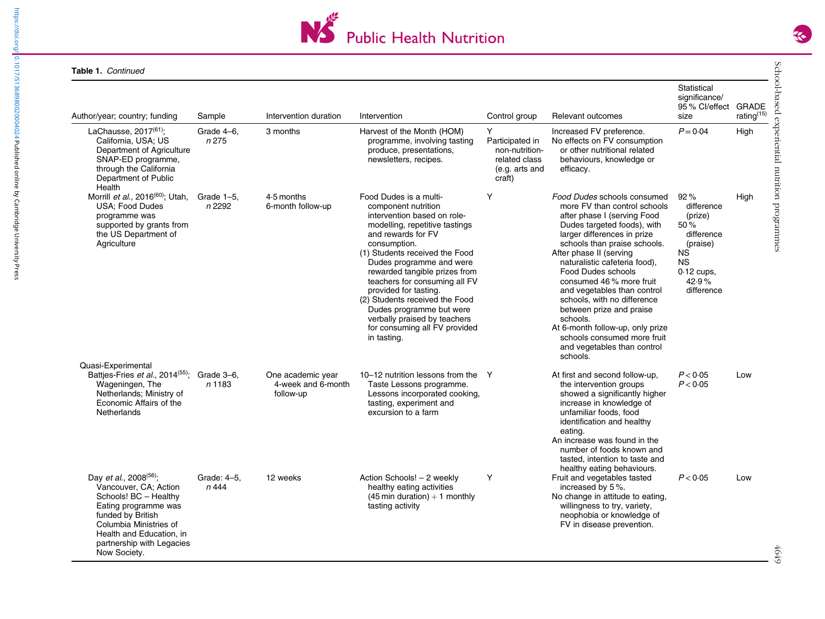

| Author/year; country; funding                                                                                                                                                                                                        | Sample               | Intervention duration                                | Intervention                                                                                                                                                                                                                                                                                                                                                                                                                                                | Control group                                                                       | Relevant outcomes                                                                                                                                                                                                                                                                                                                                                                                                                                                                                                                | Statistical<br>significance/<br>95% Cl/effect GRADE<br>size                                                                    | rating <sup>(15)</sup> |
|--------------------------------------------------------------------------------------------------------------------------------------------------------------------------------------------------------------------------------------|----------------------|------------------------------------------------------|-------------------------------------------------------------------------------------------------------------------------------------------------------------------------------------------------------------------------------------------------------------------------------------------------------------------------------------------------------------------------------------------------------------------------------------------------------------|-------------------------------------------------------------------------------------|----------------------------------------------------------------------------------------------------------------------------------------------------------------------------------------------------------------------------------------------------------------------------------------------------------------------------------------------------------------------------------------------------------------------------------------------------------------------------------------------------------------------------------|--------------------------------------------------------------------------------------------------------------------------------|------------------------|
| LaChausse, $2017^{(61)}$ ;<br>California, USA; US<br>Department of Agriculture<br>SNAP-ED programme,<br>through the California<br>Department of Public<br>Health                                                                     | Grade 4-6.<br>n 275  | 3 months                                             | Harvest of the Month (HOM)<br>programme, involving tasting<br>produce, presentations,<br>newsletters, recipes.                                                                                                                                                                                                                                                                                                                                              | Y<br>Participated in<br>non-nutrition-<br>related class<br>(e.g. arts and<br>craft) | Increased FV preference.<br>No effects on FV consumption<br>or other nutritional related<br>behaviours, knowledge or<br>efficacy.                                                                                                                                                                                                                                                                                                                                                                                                | $P = 0.04$                                                                                                                     | High                   |
| Morrill et al., 2016 <sup>(60)</sup> ; Utah,<br><b>USA: Food Dudes</b><br>programme was<br>supported by grants from<br>the US Department of<br>Agriculture                                                                           | Grade 1-5.<br>n 2292 | 4.5 months<br>6-month follow-up                      | Food Dudes is a multi-<br>component nutrition<br>intervention based on role-<br>modelling, repetitive tastings<br>and rewards for FV<br>consumption.<br>(1) Students received the Food<br>Dudes programme and were<br>rewarded tangible prizes from<br>teachers for consuming all FV<br>provided for tasting.<br>(2) Students received the Food<br>Dudes programme but were<br>verbally praised by teachers<br>for consuming all FV provided<br>in tasting. | Y                                                                                   | Food Dudes schools consumed<br>more FV than control schools<br>after phase I (serving Food<br>Dudes targeted foods), with<br>larger differences in prize<br>schools than praise schools.<br>After phase II (serving<br>naturalistic cafeteria food),<br><b>Food Dudes schools</b><br>consumed 46% more fruit<br>and vegetables than control<br>schools, with no difference<br>between prize and praise<br>schools.<br>At 6-month follow-up, only prize<br>schools consumed more fruit<br>and vegetables than control<br>schools. | 92%<br>difference<br>(prize)<br>50%<br>difference<br>(praise)<br><b>NS</b><br><b>NS</b><br>$0.12$ cups,<br>42.9%<br>difference | High                   |
| Quasi-Experimental<br>Battjes-Fries et al., 2014 <sup>(55)</sup> ; Grade 3-6,<br>Wageningen, The<br>Netherlands; Ministry of<br>Economic Affairs of the<br>Netherlands                                                               | n 1183               | One academic year<br>4-week and 6-month<br>follow-up | 10-12 nutrition lessons from the<br>Taste Lessons programme.<br>Lessons incorporated cooking,<br>tasting, experiment and<br>excursion to a farm                                                                                                                                                                                                                                                                                                             | $\mathsf{Y}$                                                                        | At first and second follow-up,<br>the intervention groups<br>showed a significantly higher<br>increase in knowledge of<br>unfamiliar foods, food<br>identification and healthy<br>eating.<br>An increase was found in the<br>number of foods known and<br>tasted, intention to taste and                                                                                                                                                                                                                                         | P < 0.05<br>P < 0.05                                                                                                           | Low                    |
| Day et al., 2008 <sup>(56)</sup> ;<br>Vancouver, CA; Action<br>Schools! BC - Healthy<br>Eating programme was<br>funded by British<br>Columbia Ministries of<br>Health and Education, in<br>partnership with Legacies<br>Now Society. | Grade: 4-5,<br>n 444 | 12 weeks                                             | Action Schools! - 2 weekly<br>healthy eating activities<br>$(45 \text{ min duration}) + 1 \text{ monthly}$<br>tasting activity                                                                                                                                                                                                                                                                                                                              | Y                                                                                   | healthy eating behaviours.<br>Fruit and vegetables tasted<br>increased by 5%.<br>No change in attitude to eating,<br>willingness to try, variety,<br>neophobia or knowledge of<br>FV in disease prevention.                                                                                                                                                                                                                                                                                                                      | P < 0.05                                                                                                                       | Low                    |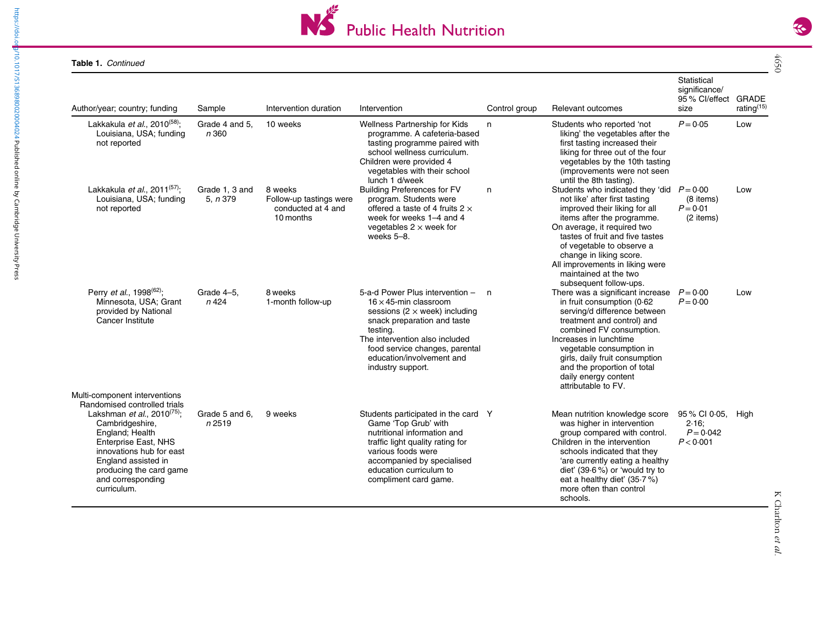

| Author/year; country; funding                                                                                                                                                                                                                                                                    | Sample                      | Intervention duration                                                 | Intervention                                                                                                                                                                                                                                                               | Control group | Relevant outcomes                                                                                                                                                                                                                                                                                                                                           | Statistical<br>significance/<br>95 % Cl/effect GRADE<br>size | rating <sup>(15)</sup> |
|--------------------------------------------------------------------------------------------------------------------------------------------------------------------------------------------------------------------------------------------------------------------------------------------------|-----------------------------|-----------------------------------------------------------------------|----------------------------------------------------------------------------------------------------------------------------------------------------------------------------------------------------------------------------------------------------------------------------|---------------|-------------------------------------------------------------------------------------------------------------------------------------------------------------------------------------------------------------------------------------------------------------------------------------------------------------------------------------------------------------|--------------------------------------------------------------|------------------------|
| Lakkakula et al., 2010 <sup>(58)</sup> ;<br>Louisiana, USA; funding<br>not reported                                                                                                                                                                                                              | Grade 4 and 5.<br>n 360     | 10 weeks                                                              | Wellness Partnership for Kids<br>programme. A cafeteria-based<br>tasting programme paired with<br>school wellness curriculum.<br>Children were provided 4<br>vegetables with their school<br>lunch 1 d/week                                                                | n.            | Students who reported 'not<br>liking' the vegetables after the<br>first tasting increased their<br>liking for three out of the four<br>vegetables by the 10th tasting<br>(improvements were not seen<br>until the 8th tasting).                                                                                                                             | $P = 0.05$                                                   | Low                    |
| Lakkakula et al., 2011 <sup>(57)</sup> ;<br>Louisiana, USA; funding<br>not reported                                                                                                                                                                                                              | Grade 1, 3 and<br>5. $n379$ | 8 weeks<br>Follow-up tastings were<br>conducted at 4 and<br>10 months | <b>Building Preferences for FV</b><br>program. Students were<br>offered a taste of 4 fruits $2 \times$<br>week for weeks 1–4 and 4<br>vegetables $2 \times$ week for<br>weeks 5-8.                                                                                         | n             | Students who indicated they 'did $P = 0.00$<br>not like' after first tasting<br>improved their liking for all<br>items after the programme.<br>On average, it required two<br>tastes of fruit and five tastes<br>of vegetable to observe a<br>change in liking score.<br>All improvements in liking were<br>maintained at the two<br>subsequent follow-ups. | (8 items)<br>$P = 0.01$<br>(2 items)                         | Low                    |
| Perry <i>et al.</i> , 1998 <sup>(62)</sup> ;<br>Minnesota, USA; Grant<br>provided by National<br>Cancer Institute                                                                                                                                                                                | Grade 4-5,<br>n 424         | 8 weeks<br>1-month follow-up                                          | 5-a-d Power Plus intervention -<br>$16 \times 45$ -min classroom<br>sessions ( $2 \times$ week) including<br>snack preparation and taste<br>testing.<br>The intervention also included<br>food service changes, parental<br>education/involvement and<br>industry support. | n.            | There was a significant increase<br>in fruit consumption (0.62<br>serving/d difference between<br>treatment and control) and<br>combined FV consumption.<br>Increases in lunchtime<br>vegetable consumption in<br>girls, daily fruit consumption<br>and the proportion of total<br>daily energy content<br>attributable to FV.                              | $P = 0.00$<br>$P = 0.00$                                     | Low                    |
| Multi-component interventions<br>Randomised controlled trials<br>Lakshman <i>et al.</i> , 2010 <sup>(75)</sup> :<br>Cambridgeshire,<br>England; Health<br>Enterprise East, NHS<br>innovations hub for east<br>England assisted in<br>producing the card game<br>and corresponding<br>curriculum. | Grade 5 and 6.<br>n2519     | 9 weeks                                                               | Students participated in the card Y<br>Game 'Top Grub' with<br>nutritional information and<br>traffic light quality rating for<br>various foods were<br>accompanied by specialised<br>education curriculum to<br>compliment card game.                                     |               | Mean nutrition knowledge score<br>was higher in intervention<br>group compared with control.<br>Children in the intervention<br>schools indicated that they<br>'are currently eating a healthy<br>diet' (39.6 %) or 'would try to<br>eat a healthy diet' (35.7 %)<br>more often than control<br>schools.                                                    | 95 % CI 0.05.<br>2.16:<br>$P = 0.042$<br>P < 0.001           | Hiah                   |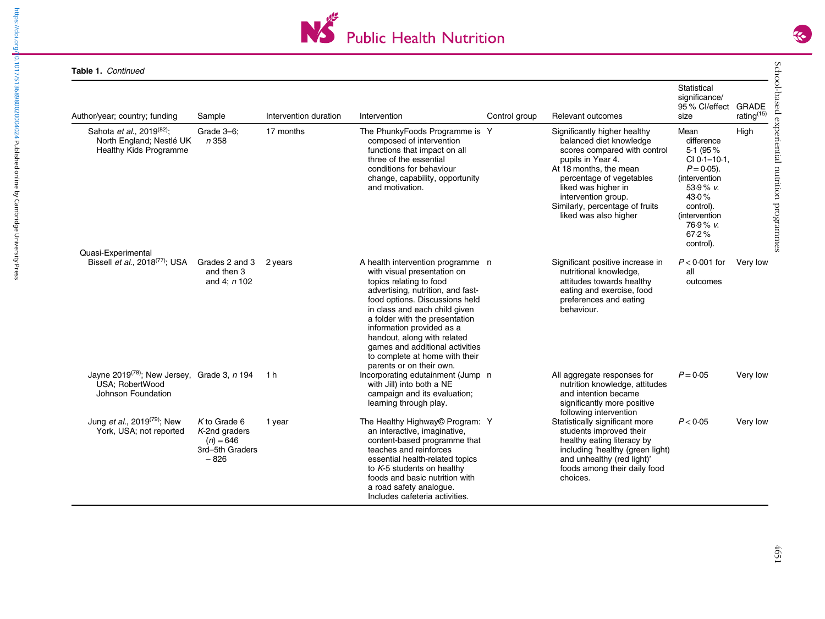

| Table 1. Continued                                                                                                |                                                                                |                       |                                                                                                                                                                                                                                                                                                                                                                                                    |               |                                                                                                                                                                                                                                                                              |                                                                                                                                                                                  |                                                        |
|-------------------------------------------------------------------------------------------------------------------|--------------------------------------------------------------------------------|-----------------------|----------------------------------------------------------------------------------------------------------------------------------------------------------------------------------------------------------------------------------------------------------------------------------------------------------------------------------------------------------------------------------------------------|---------------|------------------------------------------------------------------------------------------------------------------------------------------------------------------------------------------------------------------------------------------------------------------------------|----------------------------------------------------------------------------------------------------------------------------------------------------------------------------------|--------------------------------------------------------|
| Author/year; country; funding                                                                                     | Sample                                                                         | Intervention duration | Intervention                                                                                                                                                                                                                                                                                                                                                                                       | Control group | Relevant outcomes                                                                                                                                                                                                                                                            | Statistical<br>significance/<br>95 % Cl/effect<br>size                                                                                                                           | GRADE<br>rating <sup>(15)</sup>                        |
| Sahota et al., 2019 <sup>(82)</sup> ;<br>North England; Nestlé UK<br>Healthy Kids Programme<br>Quasi-Experimental | Grade 3-6;<br>n 358                                                            | 17 months             | The PhunkyFoods Programme is Y<br>composed of intervention<br>functions that impact on all<br>three of the essential<br>conditions for behaviour<br>change, capability, opportunity<br>and motivation.                                                                                                                                                                                             |               | Significantly higher healthy<br>balanced diet knowledge<br>scores compared with control<br>pupils in Year 4.<br>At 18 months, the mean<br>percentage of vegetables<br>liked was higher in<br>intervention group.<br>Similarly, percentage of fruits<br>liked was also higher | Mean<br>difference<br>5.1 (95%)<br>CI 0-1-10-1.<br>$P = 0.05$ ).<br><i>(intervention)</i><br>53.9% v.<br>43.0%<br>control).<br>(intervention<br>$76.9%$ v.<br>67.2%<br>control). | School-based experiential nutrition programmes<br>High |
| Bissell <i>et al.</i> , $2018^{(77)}$ ; USA Grades 2 and 3                                                        | and then 3<br>and 4; $n$ 102                                                   | 2 years               | A health intervention programme n<br>with visual presentation on<br>topics relating to food<br>advertising, nutrition, and fast-<br>food options. Discussions held<br>in class and each child given<br>a folder with the presentation<br>information provided as a<br>handout, along with related<br>games and additional activities<br>to complete at home with their<br>parents or on their own. |               | Significant positive increase in<br>nutritional knowledge,<br>attitudes towards healthy<br>eating and exercise, food<br>preferences and eating<br>behaviour.                                                                                                                 | $P < 0.001$ for<br>all<br>outcomes                                                                                                                                               | Very low                                               |
| Jayne 2019 <sup>(78)</sup> ; New Jersey, Grade 3, $n$ 194<br><b>USA: RobertWood</b><br>Johnson Foundation         |                                                                                | 1 h                   | Incorporating edutainment (Jump n<br>with Jill) into both a NE<br>campaign and its evaluation;<br>learning through play.                                                                                                                                                                                                                                                                           |               | All aggregate responses for<br>nutrition knowledge, attitudes<br>and intention became<br>significantly more positive<br>following intervention                                                                                                                               | $P = 0.05$                                                                                                                                                                       | Very low                                               |
| Jung et al., 2019 <sup>(79)</sup> ; New<br>York, USA; not reported                                                | $K$ to Grade 6<br>$K$ -2nd graders<br>$(n) = 646$<br>3rd-5th Graders<br>$-826$ | 1 year                | The Healthy Highway© Program: Y<br>an interactive, imaginative,<br>content-based programme that<br>teaches and reinforces<br>essential health-related topics<br>to $K$ -5 students on healthy<br>foods and basic nutrition with<br>a road safety analogue.<br>Includes cafeteria activities.                                                                                                       |               | Statistically significant more<br>students improved their<br>healthy eating literacy by<br>including 'healthy (green light)<br>and unhealthy (red light)'<br>foods among their daily food<br>choices.                                                                        | P < 0.05                                                                                                                                                                         | Very low                                               |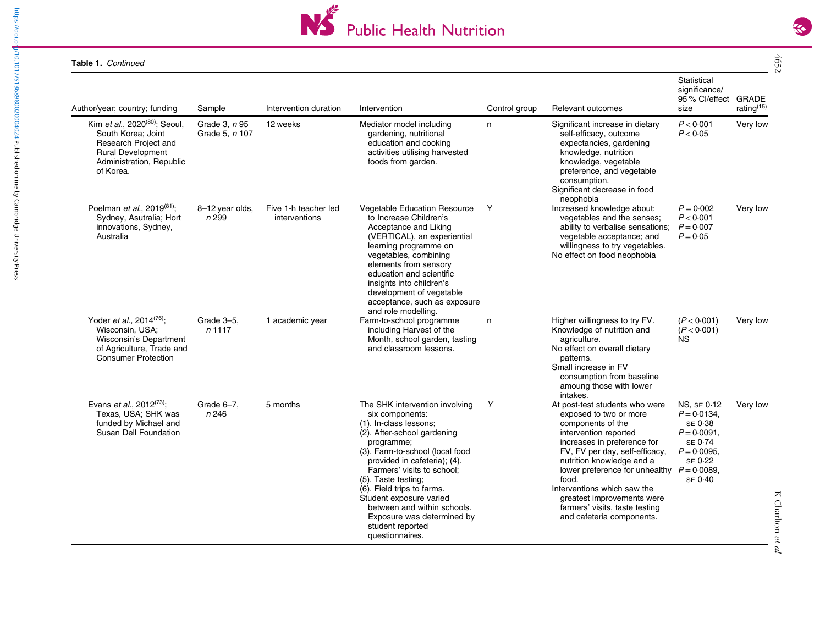

| Author/year; country; funding                                                                                                                                     | Sample                          | Intervention duration                 | Intervention                                                                                                                                                                                                                                                                                                                                                                                                  | Control group | Relevant outcomes                                                                                                                                                                                                                                                                                                                                                                          | Statistical<br>significance/<br>95 % Cl/effect<br>size                                                             | <b>GRADE</b><br>rating <sup>(15)</sup> |
|-------------------------------------------------------------------------------------------------------------------------------------------------------------------|---------------------------------|---------------------------------------|---------------------------------------------------------------------------------------------------------------------------------------------------------------------------------------------------------------------------------------------------------------------------------------------------------------------------------------------------------------------------------------------------------------|---------------|--------------------------------------------------------------------------------------------------------------------------------------------------------------------------------------------------------------------------------------------------------------------------------------------------------------------------------------------------------------------------------------------|--------------------------------------------------------------------------------------------------------------------|----------------------------------------|
| Kim et al., 2020 <sup>(80)</sup> ; Seoul,<br>South Korea; Joint<br>Research Project and<br><b>Rural Development</b><br>Administration, Republic<br>of Korea.      | Grade 3, n 95<br>Grade 5, n 107 | 12 weeks                              | Mediator model including<br>gardening, nutritional<br>education and cooking<br>activities utilising harvested<br>foods from garden.                                                                                                                                                                                                                                                                           | n             | Significant increase in dietary<br>self-efficacy, outcome<br>expectancies, gardening<br>knowledge, nutrition<br>knowledge, vegetable<br>preference, and vegetable<br>consumption.<br>Significant decrease in food<br>neophobia                                                                                                                                                             | P < 0.001<br>P < 0.05                                                                                              | Very low                               |
| Poelman <i>et al.</i> , 2019 <sup>(81)</sup> ;<br>Sydney, Asutralia; Hort<br>innovations, Sydney,<br>Australia                                                    | 8-12 year olds,<br>n 299        | Five 1-h teacher led<br>interventions | Vegetable Education Resource<br>to Increase Children's<br>Acceptance and Liking<br>(VERTICAL), an experiential<br>learning programme on<br>vegetables, combining<br>elements from sensory<br>education and scientific<br>insights into children's<br>development of vegetable<br>acceptance, such as exposure<br>and role modelling.                                                                          | Y             | Increased knowledge about:<br>vegetables and the senses;<br>ability to verbalise sensations; $P = 0.007$<br>vegetable acceptance; and<br>willingness to try vegetables.<br>No effect on food neophobia                                                                                                                                                                                     | $P = 0.002$<br>P < 0.001<br>$P = 0.05$                                                                             | Very low                               |
| Yoder <i>et al.</i> , 2014 <sup><math>(76)</math></sup> ;<br>Wisconsin, USA;<br>Wisconsin's Department<br>of Agriculture, Trade and<br><b>Consumer Protection</b> | Grade 3-5,<br>$n$ 1117          | 1 academic year                       | Farm-to-school programme<br>including Harvest of the<br>Month, school garden, tasting<br>and classroom lessons.                                                                                                                                                                                                                                                                                               | n             | Higher willingness to try FV.<br>Knowledge of nutrition and<br>agriculture.<br>No effect on overall dietary<br>patterns.<br>Small increase in FV<br>consumption from baseline<br>amoung those with lower<br>intakes.                                                                                                                                                                       | (P < 0.001)<br>(P < 0.001)<br>ΝS                                                                                   | Very low                               |
| Evans et al., 2012 <sup>(73)</sup> ;<br>Texas, USA; SHK was<br>funded by Michael and<br><b>Susan Dell Foundation</b>                                              | Grade 6-7,<br>n 246             | 5 months                              | The SHK intervention involving<br>six components:<br>(1). In-class lessons;<br>(2). After-school gardening<br>programme;<br>(3). Farm-to-school (local food<br>provided in cafeteria); (4).<br>Farmers' visits to school;<br>(5). Taste testing;<br>(6). Field trips to farms.<br>Student exposure varied<br>between and within schools.<br>Exposure was determined by<br>student reported<br>questionnaires. | Y             | At post-test students who were<br>exposed to two or more<br>components of the<br>intervention reported<br>increases in preference for<br>FV, FV per day, self-efficacy,<br>nutrition knowledge and a<br>lower preference for unhealthy $P = 0.0089$ ,<br>food.<br>Interventions which saw the<br>greatest improvements were<br>farmers' visits, taste testing<br>and cafeteria components. | <b>NS, SE 0.12</b><br>$P = 0.0134$ ,<br>SE 0.38<br>$P = 0.0091$<br>SE 0.74<br>$P = 0.0095$ ,<br>SE 0.22<br>SE 0.40 | Very low                               |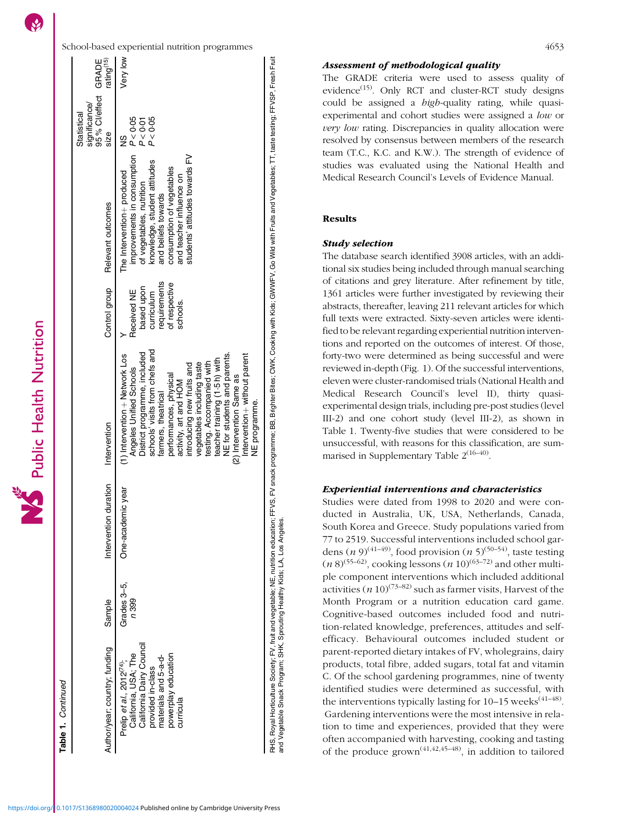Continued



Intervention

NE programme.

NE programme.

RHS, Royal Horticulture Society, FV, fruit and vegetable; NE, nutrition education; FFVS, FFV snack programme; BB, Brighter Bites; CMK, Cooking with Kids; GWWFV, Go Wild with Fruits and Vegetables; TT, taste testing; FFVSP,

RHS, Royal Horticulture Society; FV, fruit and vegetable; NE, nutrition education; FFVS, FV snack programme; BB, Brighter Bites; CWK, Cooking with Kids; Glo Wild with Fruits and Vegetables; TT, taste testing; FFVSP, Fresh

and Vegetable Snack Program; SHK, Sprouting Healthy Kids; LA, Los Angeles.

ntervention+ without parent

without parent

### Assessment of methodological quality

The GRADE criteria were used to assess quality of evidence<sup> $(15)$ </sup>. Only RCT and cluster-RCT study designs could be assigned a high-quality rating, while quasiexperimental and cohort studies were assigned a low or very low rating. Discrepancies in quality allocation were resolved by consensus between members of the research team (T.C., K.C. and K.W.). The strength of evidence of studies was evaluated using the National Health and Medical Research Council's Levels of Evidence Manual.

# Results

# Study selection

The database search identified 3908 articles, with an additional six studies being included through manual searching of citations and grey literature. After refinement by title, 1361 articles were further investigated by reviewing their abstracts, thereafter, leaving 211 relevant articles for which full texts were extracted. Sixty-seven articles were identified to be relevant regarding experiential nutrition interventions and reported on the outcomes of interest. Of those, forty-two were determined as being successful and were reviewed in-depth (Fig. [1](#page-12-0)). Of the successful interventions, eleven were cluster-randomised trials (National Health and Medical Research Council's level II), thirty quasiexperimental design trials, including pre-post studies (level III-2) and one cohort study (level III-2), as shown in Table [1.](#page-2-0) Twenty-five studies that were considered to be unsuccessful, with reasons for this classification, are summarised in Supplementary Table  $2^{(16-40)}$  $2^{(16-40)}$  $2^{(16-40)}$  $2^{(16-40)}$  $2^{(16-40)}$ .

# Experiential interventions and characteristics

Studies were dated from 1998 to 2020 and were conducted in Australia, UK, USA, Netherlands, Canada, South Korea and Greece. Study populations varied from 77 to 2519. Successful interventions included school gardens  $(n 9)^{(41-49)}$  $(n 9)^{(41-49)}$  $(n 9)^{(41-49)}$  $(n 9)^{(41-49)}$  $(n 9)^{(41-49)}$ , food provision  $(n 5)^{(50-54)}$  $(n 5)^{(50-54)}$  $(n 5)^{(50-54)}$  $(n 5)^{(50-54)}$  $(n 5)^{(50-54)}$ , taste testing  $(n 8)^{(55-62)}$  $(n 8)^{(55-62)}$  $(n 8)^{(55-62)}$  $(n 8)^{(55-62)}$  $(n 8)^{(55-62)}$ , cooking lessons  $(n 10)^{(63-72)}$  $(n 10)^{(63-72)}$  $(n 10)^{(63-72)}$  $(n 10)^{(63-72)}$  $(n 10)^{(63-72)}$  and other multiple component interventions which included additional activities (*n* 10)<sup>([73](#page-19-0)–[82\)](#page-19-0)</sup> such as farmer visits, Harvest of the Month Program or a nutrition education card game. Cognitive-based outcomes included food and nutrition-related knowledge, preferences, attitudes and selfefficacy. Behavioural outcomes included student or parent-reported dietary intakes of FV, wholegrains, dairy products, total fibre, added sugars, total fat and vitamin C. Of the school gardening programmes, nine of twenty identified studies were determined as successful, with the interventions typically lasting for  $10-15$  weeks<sup> $(41-48)$  $(41-48)$  $(41-48)$  $(41-48)$ </sup>. Gardening interventions were the most intensive in relation to time and experiences, provided that they were often accompanied with harvesting, cooking and tasting of the produce  $\text{grown}^{(41,42,45-48)}$  $\text{grown}^{(41,42,45-48)}$  $\text{grown}^{(41,42,45-48)}$  $\text{grown}^{(41,42,45-48)}$  $\text{grown}^{(41,42,45-48)}$ , in addition to tailored

Public Health Nutrition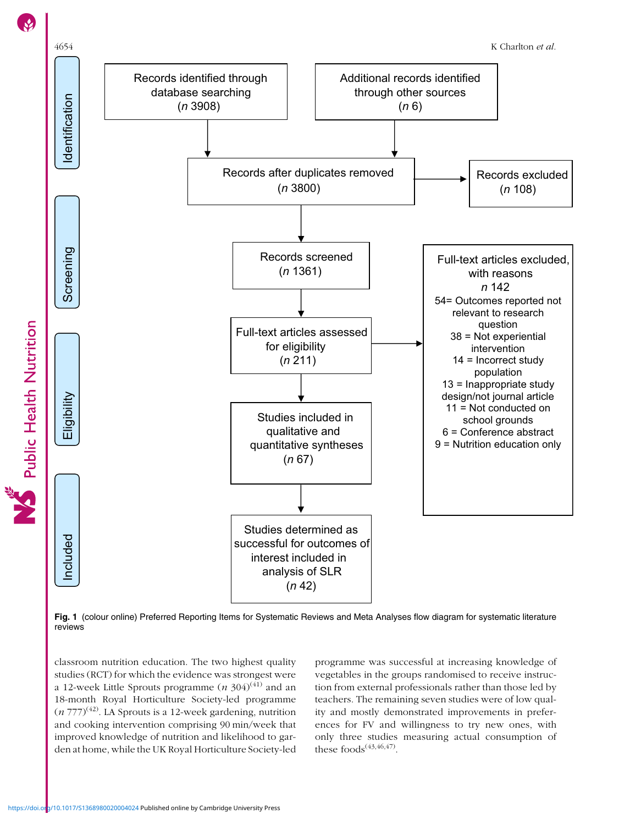<span id="page-12-0"></span>



Fig. 1 (colour online) Preferred Reporting Items for Systematic Reviews and Meta Analyses flow diagram for systematic literature reviews

classroom nutrition education. The two highest quality studies (RCT) for which the evidence was strongest were a 12-week Little Sprouts programme  $(n \frac{304}{41})$  and an 18-month Royal Horticulture Society-led programme  $(n 777)^{(42)}$  $(n 777)^{(42)}$  $(n 777)^{(42)}$ . LA Sprouts is a 12-week gardening, nutrition and cooking intervention comprising 90 min/week that improved knowledge of nutrition and likelihood to garden at home, while the UK Royal Horticulture Society-led programme was successful at increasing knowledge of vegetables in the groups randomised to receive instruction from external professionals rather than those led by teachers. The remaining seven studies were of low quality and mostly demonstrated improvements in preferences for FV and willingness to try new ones, with only three studies measuring actual consumption of these foods $(43, 46, 47)$ .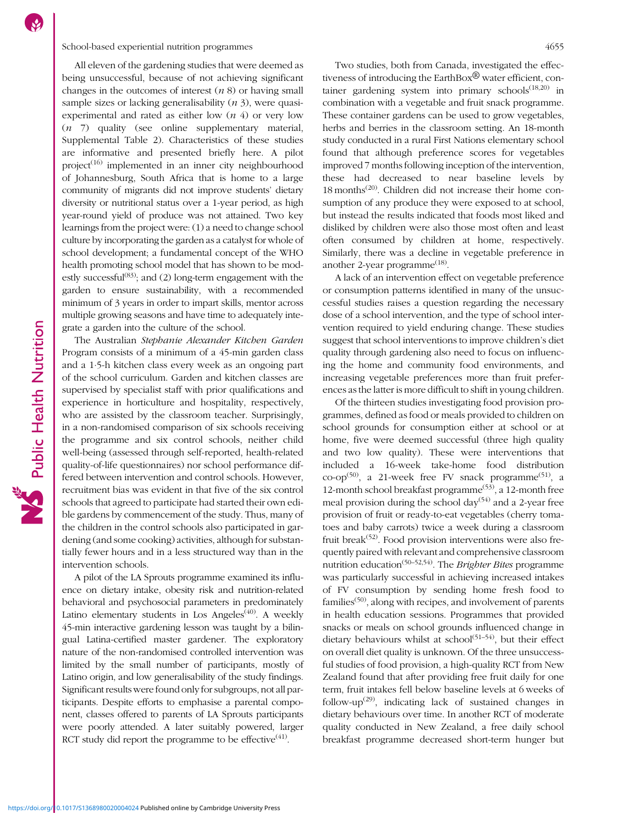All eleven of the gardening studies that were deemed as being unsuccessful, because of not achieving significant changes in the outcomes of interest  $(n 8)$  or having small sample sizes or lacking generalisability  $(n 3)$ , were quasiexperimental and rated as either low  $(n 4)$  or very low (n 7) quality (see online supplementary material, Supplemental Table [2\)](https://doi.org/10.1017/S1368980020004024). Characteristics of these studies are informative and presented briefly here. A pilot project $(16)$  $(16)$  $(16)$  implemented in an inner city neighbourhood of Johannesburg, South Africa that is home to a large community of migrants did not improve students' dietary diversity or nutritional status over a 1-year period, as high year-round yield of produce was not attained. Two key learnings from the project were: (1) a need to change school culture by incorporating the garden as a catalyst for whole of school development; a fundamental concept of the WHO health promoting school model that has shown to be modestly successful<sup> $(83)$ </sup>; and (2) long-term engagement with the garden to ensure sustainability, with a recommended minimum of 3 years in order to impart skills, mentor across multiple growing seasons and have time to adequately integrate a garden into the culture of the school.

The Australian Stephanie Alexander Kitchen Garden Program consists of a minimum of a 45-min garden class and a 1·5-h kitchen class every week as an ongoing part of the school curriculum. Garden and kitchen classes are supervised by specialist staff with prior qualifications and experience in horticulture and hospitality, respectively, who are assisted by the classroom teacher. Surprisingly, in a non-randomised comparison of six schools receiving the programme and six control schools, neither child well-being (assessed through self-reported, health-related quality-of-life questionnaires) nor school performance differed between intervention and control schools. However, recruitment bias was evident in that five of the six control schools that agreed to participate had started their own edible gardens by commencement of the study. Thus, many of the children in the control schools also participated in gardening (and some cooking) activities, although for substantially fewer hours and in a less structured way than in the intervention schools.

A pilot of the LA Sprouts programme examined its influence on dietary intake, obesity risk and nutrition-related behavioral and psychosocial parameters in predominately Latino elementary students in Los Angeles<sup> $(40)$ </sup>. A weekly 45-min interactive gardening lesson was taught by a bilingual Latina-certified master gardener. The exploratory nature of the non-randomised controlled intervention was limited by the small number of participants, mostly of Latino origin, and low generalisability of the study findings. Significant results were found only for subgroups, not all participants. Despite efforts to emphasise a parental component, classes offered to parents of LA Sprouts participants were poorly attended. A later suitably powered, larger RCT study did report the programme to be effective<sup> $(41)$ </sup>.

Two studies, both from Canada, investigated the effectiveness of introducing the EarthBox $\mathcal{B}$  water efficient, container gardening system into primary schools $^{(18,20)}$  $^{(18,20)}$  $^{(18,20)}$  $^{(18,20)}$  $^{(18,20)}$  in combination with a vegetable and fruit snack programme. These container gardens can be used to grow vegetables, herbs and berries in the classroom setting. An 18-month study conducted in a rural First Nations elementary school found that although preference scores for vegetables improved 7 months following inception of the intervention, these had decreased to near baseline levels by  $18$  months<sup> $(20)$ </sup>. Children did not increase their home consumption of any produce they were exposed to at school, but instead the results indicated that foods most liked and disliked by children were also those most often and least often consumed by children at home, respectively. Similarly, there was a decline in vegetable preference in another 2-year programme $^{(18)}$  $^{(18)}$  $^{(18)}$ .

A lack of an intervention effect on vegetable preference or consumption patterns identified in many of the unsuccessful studies raises a question regarding the necessary dose of a school intervention, and the type of school intervention required to yield enduring change. These studies suggest that school interventions to improve children's diet quality through gardening also need to focus on influencing the home and community food environments, and increasing vegetable preferences more than fruit preferences as the latter is more difficult to shift in young children.

Of the thirteen studies investigating food provision programmes, defined as food or meals provided to children on school grounds for consumption either at school or at home, five were deemed successful (three high quality and two low quality). These were interventions that included a 16-week take-home food distribution  $\text{co-op}^{(50)}$  $\text{co-op}^{(50)}$  $\text{co-op}^{(50)}$ , a 21-week free FV snack programme<sup>([51\)](#page-18-0)</sup>, a 12-month school breakfast programme<sup> $(53)$  $(53)$  $(53)$ </sup>, a 12-month free meal provision during the school day<sup> $(54)$  $(54)$ </sup> and a 2-year free provision of fruit or ready-to-eat vegetables (cherry tomatoes and baby carrots) twice a week during a classroom fruit break<sup>([52](#page-18-0))</sup>. Food provision interventions were also frequently paired with relevant and comprehensive classroom nutrition education<sup>[\(50](#page-18-0)–[52,54](#page-18-0))</sup>. The Brighter Bites programme was particularly successful in achieving increased intakes of FV consumption by sending home fresh food to families<sup> $(50)$  $(50)$  $(50)$ </sup>, along with recipes, and involvement of parents in health education sessions. Programmes that provided snacks or meals on school grounds influenced change in dietary behaviours whilst at school<sup> $(51-54)$  $(51-54)$  $(51-54)$  $(51-54)$  $(51-54)$ </sup>, but their effect on overall diet quality is unknown. Of the three unsuccessful studies of food provision, a high-quality RCT from New Zealand found that after providing free fruit daily for one term, fruit intakes fell below baseline levels at 6 weeks of follow-up<sup> $(29)$  $(29)$ </sup>, indicating lack of sustained changes in dietary behaviours over time. In another RCT of moderate quality conducted in New Zealand, a free daily school breakfast programme decreased short-term hunger but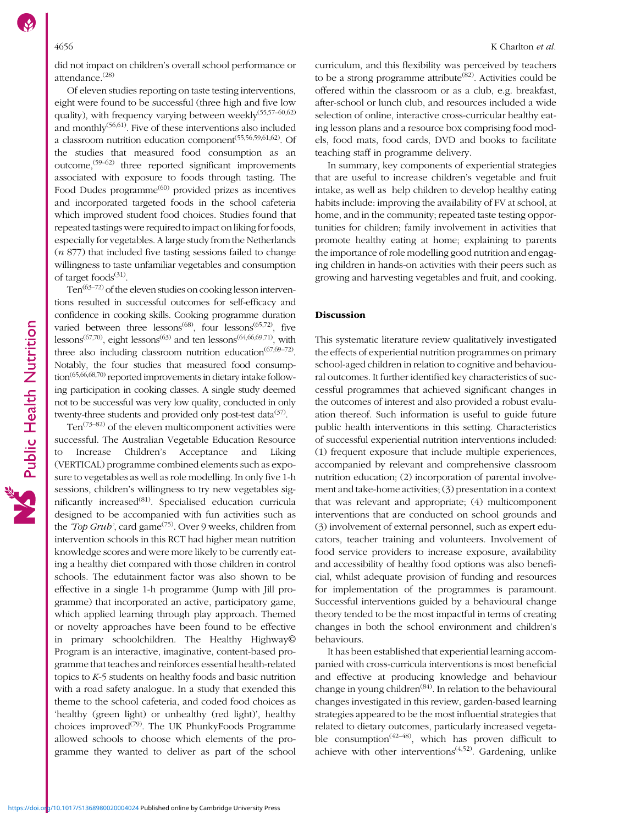did not impact on children's overall school performance or attendance.[\(28\)](#page-18-0)

Of eleven studies reporting on taste testing interventions, eight were found to be successful (three high and five low quality), with frequency varying between weekly<sup> $(55,57-60,62)$  $(55,57-60,62)$  $(55,57-60,62)$  $(55,57-60,62)$  $(55,57-60,62)$ </sup> and monthly<sup>([56](#page-18-0),[61](#page-19-0))</sup>. Five of these interventions also included a classroom nutrition education component<sup>[\(55,56,59](#page-18-0)[,61](#page-19-0),[62](#page-19-0))</sup>. Of the studies that measured food consumption as an outcome,  $(59-62)$  $(59-62)$  $(59-62)$  $(59-62)$  three reported significant improvements associated with exposure to foods through tasting. The Food Dudes programme<sup>[\(60\)](#page-18-0)</sup> provided prizes as incentives and incorporated targeted foods in the school cafeteria which improved student food choices. Studies found that repeated tastings were required to impact on liking for foods, especially for vegetables. A large study from the Netherlands  $(n 877)$  that included five tasting sessions failed to change willingness to taste unfamiliar vegetables and consumption of target foods $(31)$ .

 $Ten^{(63-72)}$  $Ten^{(63-72)}$  $Ten^{(63-72)}$  $Ten^{(63-72)}$  $Ten^{(63-72)}$  of the eleven studies on cooking lesson interventions resulted in successful outcomes for self-efficacy and confidence in cooking skills. Cooking programme duration varied between three lessons<sup> $(68)$ </sup>, four lessons<sup> $(65,72)$  $(65,72)$ </sup>, five lessons<sup>[\(67,70\)](#page-19-0)</sup>, eight lessons<sup>[\(63](#page-19-0))</sup> and ten lessons<sup>[\(64,66,69,71](#page-19-0))</sup>, with three also including classroom nutrition education<sup> $(67,69-72)$  $(67,69-72)$  $(67,69-72)$  $(67,69-72)$ </sup>. Notably, the four studies that measured food consumption[\(65,66,68,70](#page-19-0)) reported improvements in dietary intake following participation in cooking classes. A single study deemed not to be successful was very low quality, conducted in only twenty-three students and provided only post-test data<sup>[\(37\)](#page-18-0)</sup>.

Ten $(73-82)$  $(73-82)$  $(73-82)$  of the eleven multicomponent activities were successful. The Australian Vegetable Education Resource to Increase Children's Acceptance and Liking (VERTICAL) programme combined elements such as exposure to vegetables as well as role modelling. In only five 1-h sessions, children's willingness to try new vegetables sig-nificantly increased<sup>([81\)](#page-19-0)</sup>. Specialised education curricula designed to be accompanied with fun activities such as the 'Top Grub', card game<sup>([75\)](#page-19-0)</sup>. Over 9 weeks, children from intervention schools in this RCT had higher mean nutrition knowledge scores and were more likely to be currently eating a healthy diet compared with those children in control schools. The edutainment factor was also shown to be effective in a single 1-h programme (Jump with Jill programme) that incorporated an active, participatory game, which applied learning through play approach. Themed or novelty approaches have been found to be effective in primary schoolchildren. The Healthy Highway© Program is an interactive, imaginative, content-based programme that teaches and reinforces essential health-related topics to K-5 students on healthy foods and basic nutrition with a road safety analogue. In a study that exended this theme to the school cafeteria, and coded food choices as 'healthy (green light) or unhealthy (red light)', healthy choices improved $(79)$  $(79)$  $(79)$ . The UK PhunkyFoods Programme allowed schools to choose which elements of the programme they wanted to deliver as part of the school

curriculum, and this flexibility was perceived by teachers to be a strong programme attribute<sup> $(82)$ </sup>. Activities could be offered within the classroom or as a club, e.g. breakfast, after-school or lunch club, and resources included a wide selection of online, interactive cross-curricular healthy eating lesson plans and a resource box comprising food models, food mats, food cards, DVD and books to facilitate teaching staff in programme delivery.

In summary, key components of experiential strategies that are useful to increase children's vegetable and fruit intake, as well as help children to develop healthy eating habits include: improving the availability of FV at school, at home, and in the community; repeated taste testing opportunities for children; family involvement in activities that promote healthy eating at home; explaining to parents the importance of role modelling good nutrition and engaging children in hands-on activities with their peers such as growing and harvesting vegetables and fruit, and cooking.

# Discussion

This systematic literature review qualitatively investigated the effects of experiential nutrition programmes on primary school-aged children in relation to cognitive and behavioural outcomes. It further identified key characteristics of successful programmes that achieved significant changes in the outcomes of interest and also provided a robust evaluation thereof. Such information is useful to guide future public health interventions in this setting. Characteristics of successful experiential nutrition interventions included: (1) frequent exposure that include multiple experiences, accompanied by relevant and comprehensive classroom nutrition education; (2) incorporation of parental involvement and take-home activities; (3) presentation in a context that was relevant and appropriate; (4) multicomponent interventions that are conducted on school grounds and (3) involvement of external personnel, such as expert educators, teacher training and volunteers. Involvement of food service providers to increase exposure, availability and accessibility of healthy food options was also beneficial, whilst adequate provision of funding and resources for implementation of the programmes is paramount. Successful interventions guided by a behavioural change theory tended to be the most impactful in terms of creating changes in both the school environment and children's behaviours.

It has been established that experiential learning accompanied with cross-curricula interventions is most beneficial and effective at producing knowledge and behaviour change in young children<sup>([84\)](#page-19-0)</sup>. In relation to the behavioural changes investigated in this review, garden-based learning strategies appeared to be the most influential strategies that related to dietary outcomes, particularly increased vegetable consumption<sup> $(42-48)$  $(42-48)$  $(42-48)$ </sup>, which has proven difficult to achieve with other interventions<sup> $(4,52)$  $(4,52)$  $(4,52)$ </sup>. Gardening, unlike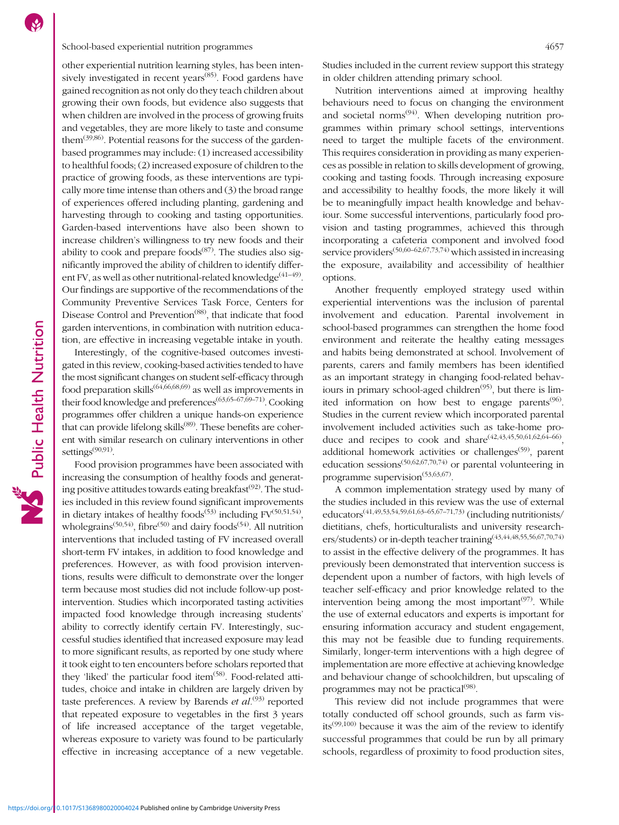# School-based experiential nutrition programmes 4657

other experiential nutrition learning styles, has been inten-sively investigated in recent years<sup>[\(85\)](#page-19-0)</sup>. Food gardens have gained recognition as not only do they teach children about growing their own foods, but evidence also suggests that when children are involved in the process of growing fruits and vegetables, they are more likely to taste and consume them<sup> $(39,86)$  $(39,86)$  $(39,86)$  $(39,86)$ </sup>. Potential reasons for the success of the gardenbased programmes may include: (1) increased accessibility to healthful foods; (2) increased exposure of children to the practice of growing foods, as these interventions are typically more time intense than others and (3) the broad range of experiences offered including planting, gardening and harvesting through to cooking and tasting opportunities. Garden-based interventions have also been shown to increase children's willingness to try new foods and their ability to cook and prepare foods $(87)$  $(87)$  $(87)$ . The studies also significantly improved the ability of children to identify different FV, as well as other nutritional-related knowledge<sup> $(41-49)$  $(41-49)$  $(41-49)$  $(41-49)$  $(41-49)$ </sup>. Our findings are supportive of the recommendations of the Community Preventive Services Task Force, Centers for Disease Control and Prevention<sup>([88](#page-19-0))</sup>, that indicate that food garden interventions, in combination with nutrition education, are effective in increasing vegetable intake in youth.

Interestingly, of the cognitive-based outcomes investigated in this review, cooking-based activities tended to have the most significant changes on student self-efficacy through food preparation skills<sup> $(64,66,68,69)$  $(64,66,68,69)$ </sup> as well as improvements in their food knowledge and preferences $(63,65-67,69-71)$  $(63,65-67,69-71)$  $(63,65-67,69-71)$  $(63,65-67,69-71)$  $(63,65-67,69-71)$  $(63,65-67,69-71)$ . Cooking programmes offer children a unique hands-on experience that can provide lifelong skills<sup>[\(89\)](#page-19-0)</sup>. These benefits are coherent with similar research on culinary interventions in other settings<sup>[\(90,91\)](#page-19-0)</sup>.

Food provision programmes have been associated with increasing the consumption of healthy foods and generating positive attitudes towards eating breakfast $(92)$  $(92)$  $(92)$ . The studies included in this review found significant improvements in dietary intakes of healthy foods<sup> $(53)$ </sup> including  $FV^{(50,51,54)}$  $FV^{(50,51,54)}$  $FV^{(50,51,54)}$  $FV^{(50,51,54)}$  $FV^{(50,51,54)}$ , wholegrains<sup>[\(50,54\)](#page-18-0)</sup>, fibre<sup>([50\)](#page-18-0)</sup> and dairy foods<sup>([54](#page-18-0))</sup>. All nutrition interventions that included tasting of FV increased overall short-term FV intakes, in addition to food knowledge and preferences. However, as with food provision interventions, results were difficult to demonstrate over the longer term because most studies did not include follow-up postintervention. Studies which incorporated tasting activities impacted food knowledge through increasing students' ability to correctly identify certain FV. Interestingly, successful studies identified that increased exposure may lead to more significant results, as reported by one study where it took eight to ten encounters before scholars reported that they 'liked' the particular food item<sup>[\(58](#page-18-0))</sup>. Food-related attitudes, choice and intake in children are largely driven by taste preferences. A review by Barends et  $al^{(93)}$  $al^{(93)}$  $al^{(93)}$  reported that repeated exposure to vegetables in the first 3 years of life increased acceptance of the target vegetable, whereas exposure to variety was found to be particularly effective in increasing acceptance of a new vegetable. Studies included in the current review support this strategy in older children attending primary school.

Nutrition interventions aimed at improving healthy behaviours need to focus on changing the environment and societal norms<sup> $(94)$  $(94)$  $(94)$ </sup>. When developing nutrition programmes within primary school settings, interventions need to target the multiple facets of the environment. This requires consideration in providing as many experiences as possible in relation to skills development of growing, cooking and tasting foods. Through increasing exposure and accessibility to healthy foods, the more likely it will be to meaningfully impact health knowledge and behaviour. Some successful interventions, particularly food provision and tasting programmes, achieved this through incorporating a cafeteria component and involved food service providers<sup>[\(50](#page-18-0),[60](#page-18-0)–[62](#page-19-0),[67,73,74](#page-19-0))</sup> which assisted in increasing the exposure, availability and accessibility of healthier options.

Another frequently employed strategy used within experiential interventions was the inclusion of parental involvement and education. Parental involvement in school-based programmes can strengthen the home food environment and reiterate the healthy eating messages and habits being demonstrated at school. Involvement of parents, carers and family members has been identified as an important strategy in changing food-related behaviours in primary school-aged children<sup> $(95)$  $(95)$  $(95)$ </sup>, but there is limited information on how best to engage parents $(96)$  $(96)$ . Studies in the current review which incorporated parental involvement included activities such as take-home produce and recipes to cook and  $share^{(42,43,45,50,61,62,64-66)}$  $share^{(42,43,45,50,61,62,64-66)}$  $share^{(42,43,45,50,61,62,64-66)}$  $share^{(42,43,45,50,61,62,64-66)}$  $share^{(42,43,45,50,61,62,64-66)}$  $share^{(42,43,45,50,61,62,64-66)}$  $share^{(42,43,45,50,61,62,64-66)}$ . additional homework activities or challenges<sup> $(59)$  $(59)$ </sup>, parent education sessions<sup> $(50,62,67,70,74)$  $(50,62,67,70,74)$  $(50,62,67,70,74)$  $(50,62,67,70,74)$ </sup> or parental volunteering in programme supervision<sup>([53](#page-18-0),[63,67\)](#page-19-0)</sup>.

A common implementation strategy used by many of the studies included in this review was the use of external educators<sup> $(41,49,53,54,59,61,63-65,67-71,73)$  $(41,49,53,54,59,61,63-65,67-71,73)$  $(41,49,53,54,59,61,63-65,67-71,73)$  $(41,49,53,54,59,61,63-65,67-71,73)$  $(41,49,53,54,59,61,63-65,67-71,73)$  $(41,49,53,54,59,61,63-65,67-71,73)$  $(41,49,53,54,59,61,63-65,67-71,73)$  $(41,49,53,54,59,61,63-65,67-71,73)$  $(41,49,53,54,59,61,63-65,67-71,73)$  $(41,49,53,54,59,61,63-65,67-71,73)$  $(41,49,53,54,59,61,63-65,67-71,73)$  $(41,49,53,54,59,61,63-65,67-71,73)$  $(41,49,53,54,59,61,63-65,67-71,73)$  $(41,49,53,54,59,61,63-65,67-71,73)$  $(41,49,53,54,59,61,63-65,67-71,73)$ </sup> (including nutritionists/ dietitians, chefs, horticulturalists and university researchers/students) or in-depth teacher training([43,44,48](#page-18-0),[55,56,](#page-18-0)[67,70](#page-19-0),[74](#page-19-0)) to assist in the effective delivery of the programmes. It has previously been demonstrated that intervention success is dependent upon a number of factors, with high levels of teacher self-efficacy and prior knowledge related to the intervention being among the most important $(97)$  $(97)$  $(97)$ . While the use of external educators and experts is important for ensuring information accuracy and student engagement, this may not be feasible due to funding requirements. Similarly, longer-term interventions with a high degree of implementation are more effective at achieving knowledge and behaviour change of schoolchildren, but upscaling of programmes may not be practical<sup>([98](#page-20-0))</sup>.

This review did not include programmes that were totally conducted off school grounds, such as farm visits<sup> $(99,100)$  $(99,100)$ </sup> because it was the aim of the review to identify successful programmes that could be run by all primary schools, regardless of proximity to food production sites,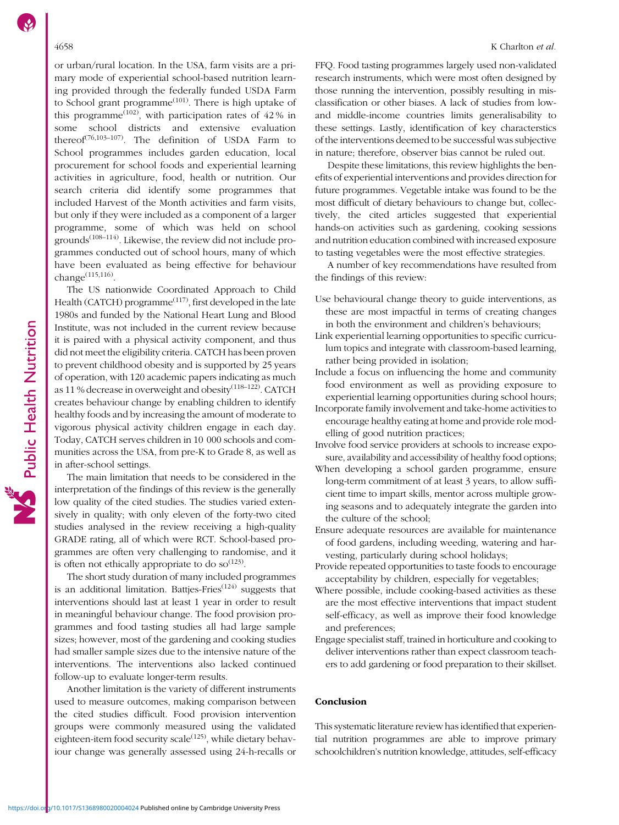or urban/rural location. In the USA, farm visits are a primary mode of experiential school-based nutrition learning provided through the federally funded USDA Farm to School grant programme $^{(101)}$  $^{(101)}$  $^{(101)}$ . There is high uptake of this programme<sup>([102](#page-20-0))</sup>, with participation rates of  $42\%$  in some school districts and extensive evaluation thereof[\(76,](#page-19-0)[103](#page-20-0)–[107](#page-20-0)). The definition of USDA Farm to School programmes includes garden education, local procurement for school foods and experiential learning activities in agriculture, food, health or nutrition. Our search criteria did identify some programmes that included Harvest of the Month activities and farm visits, but only if they were included as a component of a larger programme, some of which was held on school grounds $(108-114)$  $(108-114)$  $(108-114)$ . Likewise, the review did not include programmes conducted out of school hours, many of which have been evaluated as being effective for behaviour change([115,116\)](#page-20-0).

The US nationwide Coordinated Approach to Child Health (CATCH) programme<sup> $(117)$  $(117)$ </sup>, first developed in the late 1980s and funded by the National Heart Lung and Blood Institute, was not included in the current review because it is paired with a physical activity component, and thus did not meet the eligibility criteria. CATCH has been proven to prevent childhood obesity and is supported by 25 years of operation, with 120 academic papers indicating as much as 11 % decrease in overweight and obesity<sup>([118](#page-20-0)-[122\)](#page-20-0)</sup>. CATCH creates behaviour change by enabling children to identify healthy foods and by increasing the amount of moderate to vigorous physical activity children engage in each day. Today, CATCH serves children in 10 000 schools and communities across the USA, from pre-K to Grade 8, as well as in after-school settings.

The main limitation that needs to be considered in the interpretation of the findings of this review is the generally low quality of the cited studies. The studies varied extensively in quality; with only eleven of the forty-two cited studies analysed in the review receiving a high-quality GRADE rating, all of which were RCT. School-based programmes are often very challenging to randomise, and it is often not ethically appropriate to do  $so^{(123)}$  $so^{(123)}$  $so^{(123)}$ .

The short study duration of many included programmes is an additional limitation. Battjes-Fries $(124)$  $(124)$  $(124)$  suggests that interventions should last at least 1 year in order to result in meaningful behaviour change. The food provision programmes and food tasting studies all had large sample sizes; however, most of the gardening and cooking studies had smaller sample sizes due to the intensive nature of the interventions. The interventions also lacked continued follow-up to evaluate longer-term results.

Another limitation is the variety of different instruments used to measure outcomes, making comparison between the cited studies difficult. Food provision intervention groups were commonly measured using the validated eighteen-item food security scale $(125)$  $(125)$ , while dietary behaviour change was generally assessed using 24-h-recalls or FFQ. Food tasting programmes largely used non-validated research instruments, which were most often designed by those running the intervention, possibly resulting in misclassification or other biases. A lack of studies from lowand middle-income countries limits generalisability to these settings. Lastly, identification of key characterstics of the interventions deemed to be successful was subjective in nature; therefore, observer bias cannot be ruled out.

Despite these limitations, this review highlights the benefits of experiential interventions and provides direction for future programmes. Vegetable intake was found to be the most difficult of dietary behaviours to change but, collectively, the cited articles suggested that experiential hands-on activities such as gardening, cooking sessions and nutrition education combined with increased exposure to tasting vegetables were the most effective strategies.

A number of key recommendations have resulted from the findings of this review:

- Use behavioural change theory to guide interventions, as these are most impactful in terms of creating changes in both the environment and children's behaviours;
- Link experiential learning opportunities to specific curriculum topics and integrate with classroom-based learning, rather being provided in isolation;
- Include a focus on influencing the home and community food environment as well as providing exposure to experiential learning opportunities during school hours;
- Incorporate family involvement and take-home activities to encourage healthy eating at home and provide role modelling of good nutrition practices;
- Involve food service providers at schools to increase exposure, availability and accessibility of healthy food options;
- When developing a school garden programme, ensure long-term commitment of at least 3 years, to allow sufficient time to impart skills, mentor across multiple growing seasons and to adequately integrate the garden into the culture of the school;
- Ensure adequate resources are available for maintenance of food gardens, including weeding, watering and harvesting, particularly during school holidays;
- Provide repeated opportunities to taste foods to encourage acceptability by children, especially for vegetables;
- Where possible, include cooking-based activities as these are the most effective interventions that impact student self-efficacy, as well as improve their food knowledge and preferences;
- Engage specialist staff, trained in horticulture and cooking to deliver interventions rather than expect classroom teachers to add gardening or food preparation to their skillset.

# Conclusion

This systematic literature review has identified that experiential nutrition programmes are able to improve primary schoolchildren's nutrition knowledge, attitudes, self-efficacy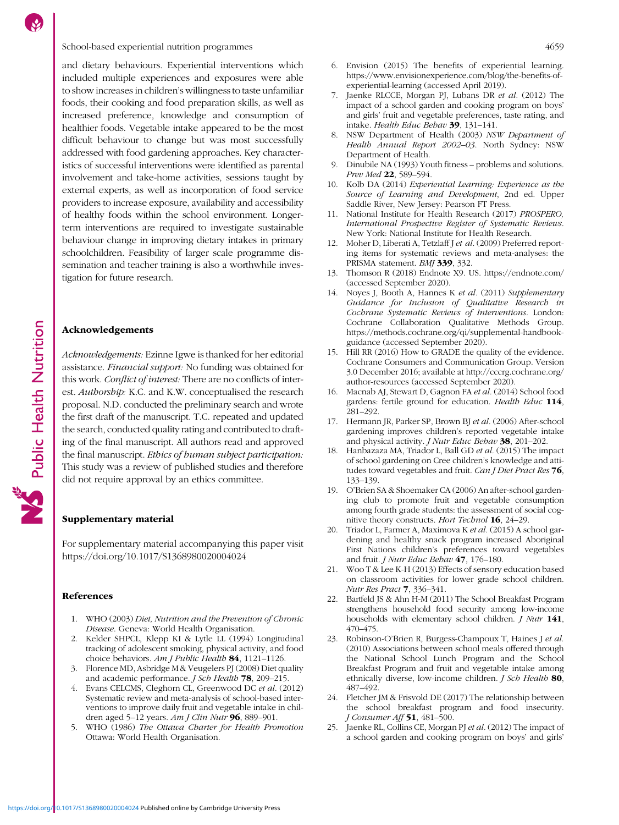### <span id="page-17-0"></span>School-based experiential nutrition programmes 4659

and dietary behaviours. Experiential interventions which included multiple experiences and exposures were able to show increases in children's willingness to taste unfamiliar foods, their cooking and food preparation skills, as well as increased preference, knowledge and consumption of healthier foods. Vegetable intake appeared to be the most difficult behaviour to change but was most successfully addressed with food gardening approaches. Key characteristics of successful interventions were identified as parental involvement and take-home activities, sessions taught by external experts, as well as incorporation of food service providers to increase exposure, availability and accessibility of healthy foods within the school environment. Longerterm interventions are required to investigate sustainable behaviour change in improving dietary intakes in primary schoolchildren. Feasibility of larger scale programme dissemination and teacher training is also a worthwhile investigation for future research.

# Acknowledgements

Acknowledgements: Ezinne Igwe is thanked for her editorial assistance. Financial support: No funding was obtained for this work. Conflict of interest: There are no conflicts of interest. Authorship: K.C. and K.W. conceptualised the research proposal. N.D. conducted the preliminary search and wrote the first draft of the manuscript. T.C. repeated and updated the search, conducted quality rating and contributed to drafting of the final manuscript. All authors read and approved the final manuscript. Ethics of human subject participation: This study was a review of published studies and therefore did not require approval by an ethics committee.

# Supplementary material

For supplementary material accompanying this paper visit <https://doi.org/10.1017/S1368980020004024>

### References

- 1. WHO (2003) Diet, Nutrition and the Prevention of Chronic Disease. Geneva: World Health Organisation.
- 2. Kelder SHPCL, Klepp KI & Lytle LL (1994) Longitudinal tracking of adolescent smoking, physical activity, and food choice behaviors. Am J Public Health 84, 1121-1126.
- 3. Florence MD, Asbridge M & Veugelers PJ (2008) Diet quality and academic performance. *J Sch Health* **78**, 209-215.
- 4. Evans CELCMS, Cleghorn CL, Greenwood DC et al. (2012) Systematic review and meta-analysis of school-based interventions to improve daily fruit and vegetable intake in children aged 5–12 years. Am J Clin Nutr 96, 889–901.
- 5. WHO (1986) The Ottawa Charter for Health Promotion Ottawa: World Health Organisation.
- 6. Envision (2015) The benefits of experiential learning. [https://www.envisionexperience.com/blog/the-benefits-of](https://www.envisionexperience.com/blog/the-benefits-of-experiential-learning)[experiential-learning](https://www.envisionexperience.com/blog/the-benefits-of-experiential-learning) (accessed April 2019).
- 7. Jaenke RLCCE, Morgan PJ, Lubans DR et al. (2012) The impact of a school garden and cooking program on boys' and girls' fruit and vegetable preferences, taste rating, and intake. Health Educ Behav 39, 131–141.
- 8. NSW Department of Health (2003) NSW Department of Health Annual Report 2002–03. North Sydney: NSW Department of Health.
- 9. Dinubile NA (1993) Youth fitness problems and solutions. Prev Med 22, 589–594.
- 10. Kolb DA (2014) Experiential Learning: Experience as the Source of Learning and Development, 2nd ed. Upper Saddle River, New Jersey: Pearson FT Press.
- 11. National Institute for Health Research (2017) PROSPERO, International Prospective Register of Systematic Reviews. New York: National Institute for Health Research.
- 12. Moher D, Liberati A, Tetzlaff J et al. (2009) Preferred reporting items for systematic reviews and meta-analyses: the PRISMA statement. BMJ 339, 332.
- 13. Thomson R (2018) Endnote X9. US.<https://endnote.com/> (accessed September 2020).
- 14. Noyes J, Booth A, Hannes K et al. (2011) Supplementary Guidance for Inclusion of Qualitative Research in Cochrane Systematic Reviews of Interventions. London: Cochrane Collaboration Qualitative Methods Group. [https://methods.cochrane.org/qi/supplemental-handbook](https://methods.cochrane.org/qi/supplemental-handbook-guidance)[guidance](https://methods.cochrane.org/qi/supplemental-handbook-guidance) (accessed September 2020).
- 15. Hill RR (2016) How to GRADE the quality of the evidence. Cochrane Consumers and Communication Group. Version 3.0 December 2016; available at [http://cccrg.cochrane.org/](http://cccrg.cochrane.org/author-resources) [author-resources](http://cccrg.cochrane.org/author-resources) (accessed September 2020).
- 16. Macnab AJ, Stewart D, Gagnon FA et al. (2014) School food gardens: fertile ground for education. Health Educ 114, 281–292.
- 17. Hermann JR, Parker SP, Brown BJ et al. (2006) After-school gardening improves children's reported vegetable intake and physical activity. *J Nutr Educ Behav* 38, 201-202.
- 18. Hanbazaza MA, Triador L, Ball GD et al. (2015) The impact of school gardening on Cree children's knowledge and attitudes toward vegetables and fruit. Can J Diet Pract Res 76, 133–139.
- 19. O'Brien SA & Shoemaker CA (2006) An after-school gardening club to promote fruit and vegetable consumption among fourth grade students: the assessment of social cognitive theory constructs. Hort Technol 16, 24-29.
- 20. Triador L, Farmer A, Maximova K et al. (2015) A school gardening and healthy snack program increased Aboriginal First Nations children's preferences toward vegetables and fruit. J Nutr Educ Behav 47, 176–180.
- 21. Woo T & Lee K-H (2013) Effects of sensory education based on classroom activities for lower grade school children. Nutr Res Pract 7, 336–341.
- 22. Bartfeld JS & Ahn H-M (2011) The School Breakfast Program strengthens household food security among low-income households with elementary school children. *J Nutr* 141, 470–475.
- 23. Robinson-O'Brien R, Burgess-Champoux T, Haines J et al. (2010) Associations between school meals offered through the National School Lunch Program and the School Breakfast Program and fruit and vegetable intake among ethnically diverse, low-income children. *J Sch Health* 80, 487–492.
- 24. Fletcher JM & Frisvold DE (2017) The relationship between the school breakfast program and food insecurity. J Consumer Aff 51, 481–500.
- 25. Jaenke RL, Collins CE, Morgan PJ et al. (2012) The impact of a school garden and cooking program on boys' and girls'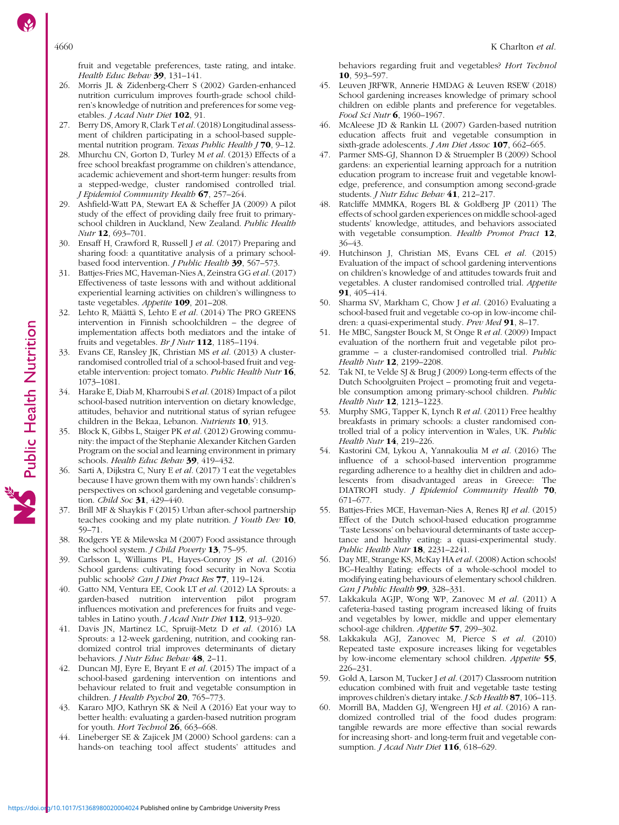<span id="page-18-0"></span>fruit and vegetable preferences, taste rating, and intake. Health Educ Behav 39, 131-141.

- 26. Morris JL & Zidenberg-Cherr S (2002) Garden-enhanced nutrition curriculum improves fourth-grade school children's knowledge of nutrition and preferences for some vegetables. *J Acad Nutr Diet* 102, 91
- 27. Berry DS, Amory R, Clark T et al. (2018) Longitudinal assessment of children participating in a school-based supplemental nutrition program. Texas Public Health  $170$ , 9-12.
- 28. Mhurchu CN, Gorton D, Turley M et al. (2013) Effects of a free school breakfast programme on children's attendance, academic achievement and short-term hunger: results from a stepped-wedge, cluster randomised controlled trial. J Epidemiol Community Health 67, 257–264.
- 29. Ashfield-Watt PA, Stewart EA & Scheffer JA (2009) A pilot study of the effect of providing daily free fruit to primaryschool children in Auckland, New Zealand. Public Health Nutr 12, 693-701.
- 30. Ensaff H, Crawford R, Russell J et al. (2017) Preparing and sharing food: a quantitative analysis of a primary schoolbased food intervention. *J Public Health* 39, 567-573.
- 31. Battjes-Fries MC, Haveman-Nies A, Zeinstra GG et al. (2017) Effectiveness of taste lessons with and without additional experiential learning activities on children's willingness to taste vegetables. Appetite 109, 201–208.
- 32. Lehto R, Määttä S, Lehto E et al. (2014) The PRO GREENS intervention in Finnish schoolchildren – the degree of implementation affects both mediators and the intake of fruits and vegetables. Br J Nutr 112, 1185-1194.
- 33. Evans CE, Ransley JK, Christian MS et al. (2013) A clusterrandomised controlled trial of a school-based fruit and vegetable intervention: project tomato. Public Health Nutr 16, 1073–1081.
- 34. Harake E, Diab M, Kharroubi S et al. (2018) Impact of a pilot school-based nutrition intervention on dietary knowledge, attitudes, behavior and nutritional status of syrian refugee children in the Bekaa, Lebanon. Nutrients 10, 913.
- 35. Block K, Gibbs L, Staiger PK et al. (2012) Growing community: the impact of the Stephanie Alexander Kitchen Garden Program on the social and learning environment in primary schools. Health Educ Behav 39, 419-432.
- 36. Sarti A, Dijkstra C, Nury E et al. (2017) 'I eat the vegetables because I have grown them with my own hands': children's perspectives on school gardening and vegetable consumption. Child Soc 31, 429-440.
- 37. Brill MF & Shaykis F (2015) Urban after-school partnership teaches cooking and my plate nutrition. *J Youth Dev* 10, 59–71.
- 38. Rodgers YE & Milewska M (2007) Food assistance through the school system. *J Child Poverty* 13, 75-95.
- 39. Carlsson L, Williams PL, Hayes-Conroy JS et al. (2016) School gardens: cultivating food security in Nova Scotia public schools? Can J Diet Pract Res 77, 119–124.
- 40. Gatto NM, Ventura EE, Cook LT et al. (2012) LA Sprouts: a garden-based nutrition intervention pilot program influences motivation and preferences for fruits and vegetables in Latino youth. *J Acad Nutr Diet* 112, 913-920.
- 41. Davis JN, Martinez LC, Spruijt-Metz D et al. (2016) LA Sprouts: a 12-week gardening, nutrition, and cooking randomized control trial improves determinants of dietary behaviors. *J Nutr Educ Behav* 48, 2-11.
- 42. Duncan MJ, Eyre E, Bryant E et al. (2015) The impact of a school-based gardening intervention on intentions and behaviour related to fruit and vegetable consumption in children. J Health Psychol 20, 765-773.
- 43. Kararo MJO, Kathryn SK & Neil A (2016) Eat your way to better health: evaluating a garden-based nutrition program for youth. Hort Technol  $26$ , 663–668.
- 44. Lineberger SE & Zajicek JM (2000) School gardens: can a hands-on teaching tool affect students' attitudes and

behaviors regarding fruit and vegetables? Hort Technol 10, 593–597.

- 45. Leuven JRFWR, Annerie HMDAG & Leuven RSEW (2018) School gardening increases knowledge of primary school children on edible plants and preference for vegetables. Food Sci Nutr **6**, 1960-1967.
- 46. McAleese JD & Rankin LL (2007) Garden-based nutrition education affects fruit and vegetable consumption in sixth-grade adolescents. *J Am Diet Assoc* **107**, 662–665.
- 47. Parmer SMS-GJ, Shannon D & Struempler B (2009) School gardens: an experiential learning approach for a nutrition education program to increase fruit and vegetable knowledge, preference, and consumption among second-grade students. J Nutr Educ Behav 41, 212-217.
- 48. Ratcliffe MMMKA, Rogers BL & Goldberg JP (2011) The effects of school garden experiences on middle school-aged students' knowledge, attitudes, and behaviors associated with vegetable consumption. Health Promot Pract 12, 36–43.
- 49. Hutchinson J, Christian MS, Evans CEL et al. (2015) Evaluation of the impact of school gardening interventions on children's knowledge of and attitudes towards fruit and vegetables. A cluster randomised controlled trial. Appetite 91, 405–414.
- 50. Sharma SV, Markham C, Chow J et al. (2016) Evaluating a school-based fruit and vegetable co-op in low-income children: a quasi-experimental study. Prev Med 91, 8-17.
- 51. He MBC, Sangster Bouck M, St Onge R et al. (2009) Impact evaluation of the northern fruit and vegetable pilot programme – a cluster-randomised controlled trial. Public Health Nutr 12, 2199-2208.
- 52. Tak NI, te Velde SJ & Brug J (2009) Long-term effects of the Dutch Schoolgruiten Project – promoting fruit and vegetable consumption among primary-school children. Public Health Nutr 12, 1213–1223.
- 53. Murphy SMG, Tapper K, Lynch R et al. (2011) Free healthy breakfasts in primary schools: a cluster randomised controlled trial of a policy intervention in Wales, UK. Public Health Nutr 14, 219-226.
- 54. Kastorini CM, Lykou A, Yannakoulia M et al. (2016) The influence of a school-based intervention programme regarding adherence to a healthy diet in children and adolescents from disadvantaged areas in Greece: The DIATROFI study. J Epidemiol Community Health 70, 671–677.
- 55. Battjes-Fries MCE, Haveman-Nies A, Renes RJ et al. (2015) Effect of the Dutch school-based education programme 'Taste Lessons' on behavioural determinants of taste acceptance and healthy eating: a quasi-experimental study. Public Health Nutr 18, 2231-2241.
- 56. Day ME, Strange KS, McKay HA et al. (2008) Action schools! BC–Healthy Eating: effects of a whole-school model to modifying eating behaviours of elementary school children. Can J Public Health 99, 328-331.
- 57. Lakkakula AGJP, Wong WP, Zanovec M et al. (2011) A cafeteria-based tasting program increased liking of fruits and vegetables by lower, middle and upper elementary school-age children. Appetite 57, 299–302.
- 58. Lakkakula AGJ, Zanovec M, Pierce S et al. (2010) Repeated taste exposure increases liking for vegetables by low-income elementary school children. Appetite 55, 226–231.
- 59. Gold A, Larson M, Tucker J et al. (2017) Classroom nutrition education combined with fruit and vegetable taste testing improves children's dietary intake. J Sch Health 87, 106–113.
- 60. Morrill BA, Madden GJ, Wengreen HJ et al. (2016) A randomized controlled trial of the food dudes program: tangible rewards are more effective than social rewards for increasing short- and long-term fruit and vegetable consumption. J Acad Nutr Diet 116, 618-629.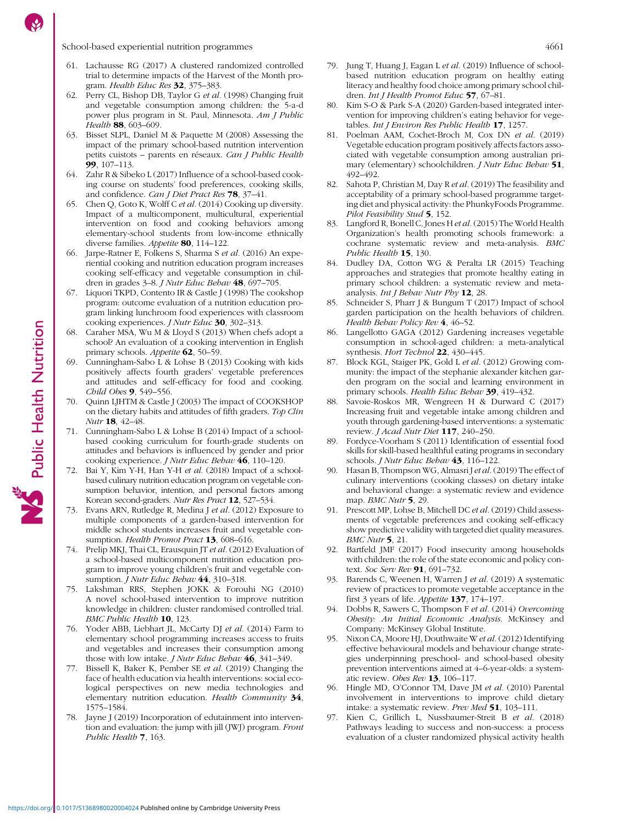- <span id="page-19-0"></span>61. Lachausse RG (2017) A clustered randomized controlled trial to determine impacts of the Harvest of the Month program. Health Educ Res 32, 375–383.
- 62. Perry CL, Bishop DB, Taylor G et al. (1998) Changing fruit and vegetable consumption among children: the 5-a-d power plus program in St. Paul, Minnesota. Am J Public Health **88**, 603–609.
- 63. Bisset SLPL, Daniel M & Paquette M (2008) Assessing the impact of the primary school-based nutrition intervention petits cuistots – parents en réseaux. Can J Public Health 99, 107–113.
- 64. Zahr R & Sibeko L (2017) Influence of a school-based cooking course on students' food preferences, cooking skills, and confidence. Can J Diet Pract Res 78, 37–41.
- 65. Chen Q, Goto K, Wolff C et al. (2014) Cooking up diversity. Impact of a multicomponent, multicultural, experiential intervention on food and cooking behaviors among elementary-school students from low-income ethnically diverse families. Appetite 80, 114-122.
- 66. Jarpe-Ratner E, Folkens S, Sharma S et al. (2016) An experiential cooking and nutrition education program increases cooking self-efficacy and vegetable consumption in children in grades 3–8. J Nutr Educ Behav 48, 697–705.
- 67. Liquori TKPD, Contento IR & Castle J (1998) The cookshop program: outcome evaluation of a nutrition education program linking lunchroom food experiences with classroom cooking experiences. *J Nutr Educ* 30, 302-313.
- 68. Caraher MSA, Wu M & Lloyd S (2013) When chefs adopt a school? An evaluation of a cooking intervention in English primary schools. Appetite 62, 50-59.
- 69. Cunningham-Sabo L & Lohse B (2013) Cooking with kids positively affects fourth graders' vegetable preferences and attitudes and self-efficacy for food and cooking. Child Obes 9, 549–556.
- 70. Quinn LJHTM & Castle J (2003) The impact of COOKSHOP on the dietary habits and attitudes of fifth graders. Top Clin Nutr 18, 42–48.
- 71. Cunningham-Sabo L & Lohse B (2014) Impact of a schoolbased cooking curriculum for fourth-grade students on attitudes and behaviors is influenced by gender and prior cooking experience. *J Nutr Educ Behav* 46, 110-120.
- 72. Bai Y, Kim Y-H, Han Y-H et al. (2018) Impact of a schoolbased culinary nutrition education program on vegetable consumption behavior, intention, and personal factors among Korean second-graders. Nutr Res Pract 12, 527–534.
- 73. Evans ARN, Rutledge R, Medina J et al. (2012) Exposure to multiple components of a garden-based intervention for middle school students increases fruit and vegetable consumption. Health Promot Pract 13, 608–616.
- 74. Prelip MKJ, Thai CL, Erausquin JT et al. (2012) Evaluation of a school-based multicomponent nutrition education program to improve young children's fruit and vegetable consumption. J Nutr Educ Behav 44, 310-318.
- 75. Lakshman RRS, Stephen JOKK & Forouhi NG (2010) A novel school-based intervention to improve nutrition knowledge in children: cluster randomised controlled trial. BMC Public Health 10, 123.
- 76. Yoder ABB, Liebhart JL, McCarty DJ et al. (2014) Farm to elementary school programming increases access to fruits and vegetables and increases their consumption among those with low intake. *J Nutr Educ Behav*  $46$ , 341–349.
- 77. Bissell K, Baker K, Pember SE et al. (2019) Changing the face of health education via health interventions: social ecological perspectives on new media technologies and elementary nutrition education. Health Community 34, 1575–1584.
- 78. Jayne J (2019) Incorporation of edutainment into intervention and evaluation: the jump with jill (JWJ) program. Front Public Health 7, 163.
- 79. Jung T, Huang J, Eagan L et al. (2019) Influence of schoolbased nutrition education program on healthy eating literacy and healthy food choice among primary school children. Int J Health Promot Educ 57, 67-81.
- 80. Kim S-O & Park S-A (2020) Garden-based integrated intervention for improving children's eating behavior for vegetables. Int J Environ Res Public Health 17, 1257.
- 81. Poelman AAM, Cochet-Broch M, Cox DN et al. (2019) Vegetable education program positively affects factors associated with vegetable consumption among australian primary (elementary) schoolchildren. J Nutr Educ Behav 51, 492–492.
- 82. Sahota P, Christian M, Day R et al. (2019) The feasibility and acceptability of a primary school-based programme targeting diet and physical activity: the PhunkyFoods Programme. Pilot Feasibility Stud 5, 152.
- 83. Langford R, Bonell C, Jones H et al. (2015) The World Health Organization's health promoting schools framework: a cochrane systematic review and meta-analysis. BMC Public Health 15, 130.
- 84. Dudley DA, Cotton WG & Peralta LR (2015) Teaching approaches and strategies that promote healthy eating in primary school children: a systematic review and metaanalysis. Int J Behav Nutr Phy 12, 28.
- 85. Schneider S, Pharr J & Bungum T (2017) Impact of school garden participation on the health behaviors of children. Health Behav Policy Rev 4, 46-52.
- 86. Langellotto GAGA (2012) Gardening increases vegetable consumption in school-aged children: a meta-analytical synthesis. Hort Technol 22, 430-445.
- 87. Block KGL, Staiger PK, Gold L et al. (2012) Growing community: the impact of the stephanie alexander kitchen garden program on the social and learning environment in primary schools. Health Educ Behav 39, 419-432.
- 88. Savoie-Roskos MR, Wengreen H & Durward C (2017) Increasing fruit and vegetable intake among children and youth through gardening-based interventions: a systematic review. J Acad Nutr Diet 117, 240-250.
- 89. Fordyce-Voorham S (2011) Identification of essential food skills for skill-based healthful eating programs in secondary schools. J Nutr Educ Behav 43, 116-122.
- 90. Hasan B, Thompson WG, Almasri J et al. (2019) The effect of culinary interventions (cooking classes) on dietary intake and behavioral change: a systematic review and evidence map. BMC Nutr 5, 29.
- 91. Prescott MP, Lohse B, Mitchell DC et al. (2019) Child assessments of vegetable preferences and cooking self-efficacy show predictive validity with targeted diet quality measures. BMC Nutr 5, 21.
- Bartfeld JMF (2017) Food insecurity among households with children: the role of the state economic and policy context. Soc Serv Rev 91, 691-732.
- 93. Barends C, Weenen H, Warren J et al. (2019) A systematic review of practices to promote vegetable acceptance in the first 3 years of life. Appetite 137, 174–197.
- 94. Dobbs R, Sawers C, Thompson F et al. (2014) Overcoming Obesity: An Initial Economic Analysis. McKinsey and Company: McKinsey Global Institute.
- 95. Nixon CA, Moore HJ, Douthwaite W et al. (2012) Identifying effective behavioural models and behaviour change strategies underpinning preschool- and school-based obesity prevention interventions aimed at 4–6-year-olds: a systematic review. Obes Rev  $13$ , 106-117.
- 96. Hingle MD, O'Connor TM, Dave JM et al. (2010) Parental involvement in interventions to improve child dietary intake: a systematic review. Prev Med 51, 103–111.
- 97. Kien C, Grillich L, Nussbaumer-Streit B et al. (2018) Pathways leading to success and non-success: a process evaluation of a cluster randomized physical activity health